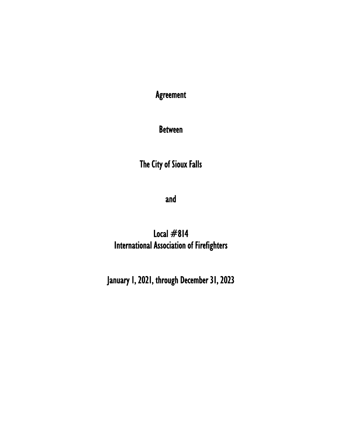Agreement

Between

The City of Sioux Falls

and

Local  $#814$ International Association of Firefighters

January 1, 2021, through December 31, 2023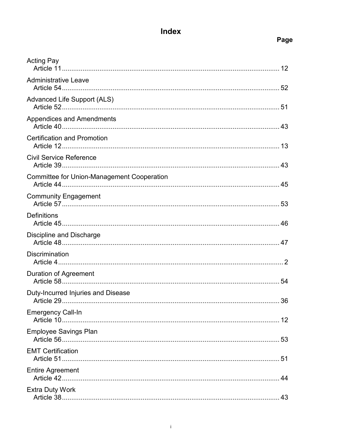# Index

## Page

| <b>Acting Pay</b>                                 |    |
|---------------------------------------------------|----|
|                                                   |    |
| <b>Administrative Leave</b>                       |    |
| Advanced Life Support (ALS)                       |    |
| Appendices and Amendments                         |    |
| <b>Certification and Promotion</b>                |    |
| <b>Civil Service Reference</b>                    |    |
| <b>Committee for Union-Management Cooperation</b> |    |
| <b>Community Engagement</b>                       |    |
| <b>Definitions</b>                                |    |
| Discipline and Discharge                          |    |
| <b>Discrimination</b>                             |    |
| <b>Duration of Agreement</b>                      |    |
| Duty-Incurred Injuries and Disease                |    |
| <b>Emergency Call-In</b>                          | 12 |
| <b>Employee Savings Plan</b>                      |    |
| <b>EMT Certification</b>                          |    |
| <b>Entire Agreement</b>                           |    |
| <b>Extra Duty Work</b>                            | 43 |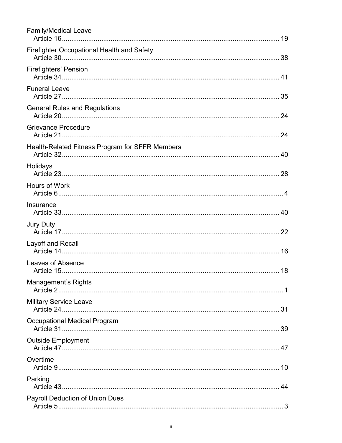| <b>Family/Medical Leave</b>                     |
|-------------------------------------------------|
| Firefighter Occupational Health and Safety      |
| <b>Firefighters' Pension</b>                    |
| <b>Funeral Leave</b>                            |
| <b>General Rules and Regulations</b>            |
| <b>Grievance Procedure</b>                      |
| Health-Related Fitness Program for SFFR Members |
| Holidays                                        |
| Hours of Work                                   |
| Insurance                                       |
| <b>Jury Duty</b>                                |
| Layoff and Recall                               |
| Leaves of Absence                               |
| <b>Management's Rights</b>                      |
| <b>Military Service Leave</b>                   |
| Occupational Medical Program                    |
| <b>Outside Employment</b>                       |
| Overtime                                        |
| Parking                                         |
| Payroll Deduction of Union Dues                 |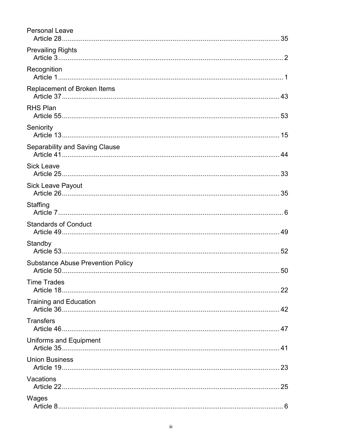| <b>Personal Leave</b>                    |  |
|------------------------------------------|--|
| <b>Prevailing Rights</b>                 |  |
| Recognition                              |  |
| Replacement of Broken Items              |  |
| <b>RHS Plan</b>                          |  |
| Seniority                                |  |
| Separability and Saving Clause           |  |
| <b>Sick Leave</b>                        |  |
| <b>Sick Leave Payout</b>                 |  |
| Staffing                                 |  |
| <b>Standards of Conduct</b>              |  |
| Standby                                  |  |
| <b>Substance Abuse Prevention Policy</b> |  |
| <b>Time Trades</b><br>Article 18.        |  |
| <b>Training and Education</b>            |  |
| <b>Transfers</b>                         |  |
| Uniforms and Equipment                   |  |
| <b>Union Business</b>                    |  |
| Vacations                                |  |
| Wages                                    |  |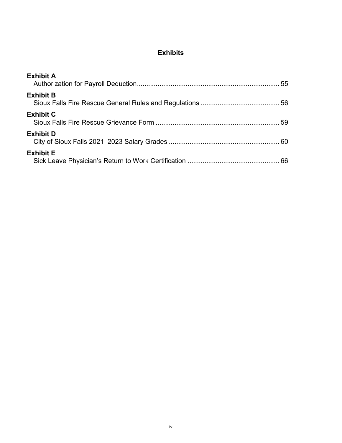## **Exhibits**

| <b>Exhibit A</b> |  |
|------------------|--|
| <b>Exhibit B</b> |  |
| <b>Exhibit C</b> |  |
| <b>Exhibit D</b> |  |
| <b>Exhibit E</b> |  |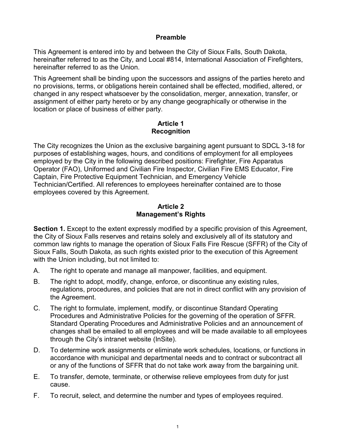#### **Preamble**

This Agreement is entered into by and between the City of Sioux Falls, South Dakota, hereinafter referred to as the City, and Local #814, International Association of Firefighters, hereinafter referred to as the Union.

This Agreement shall be binding upon the successors and assigns of the parties hereto and no provisions, terms, or obligations herein contained shall be effected, modified, altered, or changed in any respect whatsoever by the consolidation, merger, annexation, transfer, or assignment of either party hereto or by any change geographically or otherwise in the location or place of business of either party.

#### **Article 1 Recognition**

The City recognizes the Union as the exclusive bargaining agent pursuant to SDCL 3-18 for purposes of establishing wages, hours, and conditions of employment for all employees employed by the City in the following described positions: Firefighter, Fire Apparatus Operator (FAO), Uniformed and Civilian Fire Inspector, Civilian Fire EMS Educator, Fire Captain, Fire Protective Equipment Technician, and Emergency Vehicle Technician/Certified. All references to employees hereinafter contained are to those employees covered by this Agreement.

#### **Article 2 Management's Rights**

**Section 1.** Except to the extent expressly modified by a specific provision of this Agreement, the City of Sioux Falls reserves and retains solely and exclusively all of its statutory and common law rights to manage the operation of Sioux Falls Fire Rescue (SFFR) of the City of Sioux Falls, South Dakota, as such rights existed prior to the execution of this Agreement with the Union including, but not limited to:

- A. The right to operate and manage all manpower, facilities, and equipment.
- B. The right to adopt, modify, change, enforce, or discontinue any existing rules, regulations, procedures, and policies that are not in direct conflict with any provision of the Agreement.
- C. The right to formulate, implement, modify, or discontinue Standard Operating Procedures and Administrative Policies for the governing of the operation of SFFR. Standard Operating Procedures and Administrative Policies and an announcement of changes shall be emailed to all employees and will be made available to all employees through the City's intranet website (InSite).
- D. To determine work assignments or eliminate work schedules, locations, or functions in accordance with municipal and departmental needs and to contract or subcontract all or any of the functions of SFFR that do not take work away from the bargaining unit.
- E. To transfer, demote, terminate, or otherwise relieve employees from duty for just cause.
- F. To recruit, select, and determine the number and types of employees required.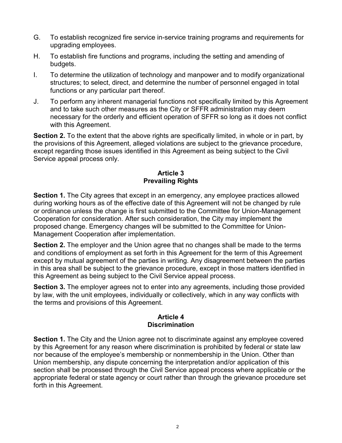- G. To establish recognized fire service in-service training programs and requirements for upgrading employees.
- H. To establish fire functions and programs, including the setting and amending of budgets.
- I. To determine the utilization of technology and manpower and to modify organizational structures; to select, direct, and determine the number of personnel engaged in total functions or any particular part thereof.
- J. To perform any inherent managerial functions not specifically limited by this Agreement and to take such other measures as the City or SFFR administration may deem necessary for the orderly and efficient operation of SFFR so long as it does not conflict with this Agreement.

**Section 2.** To the extent that the above rights are specifically limited, in whole or in part, by the provisions of this Agreement, alleged violations are subject to the grievance procedure, except regarding those issues identified in this Agreement as being subject to the Civil Service appeal process only.

#### **Article 3 Prevailing Rights**

**Section 1.** The City agrees that except in an emergency, any employee practices allowed during working hours as of the effective date of this Agreement will not be changed by rule or ordinance unless the change is first submitted to the Committee for Union-Management Cooperation for consideration. After such consideration, the City may implement the proposed change. Emergency changes will be submitted to the Committee for Union-Management Cooperation after implementation.

**Section 2.** The employer and the Union agree that no changes shall be made to the terms and conditions of employment as set forth in this Agreement for the term of this Agreement except by mutual agreement of the parties in writing. Any disagreement between the parties in this area shall be subject to the grievance procedure, except in those matters identified in this Agreement as being subject to the Civil Service appeal process.

**Section 3.** The employer agrees not to enter into any agreements, including those provided by law, with the unit employees, individually or collectively, which in any way conflicts with the terms and provisions of this Agreement.

#### **Article 4 Discrimination**

**Section 1.** The City and the Union agree not to discriminate against any employee covered by this Agreement for any reason where discrimination is prohibited by federal or state law nor because of the employee's membership or nonmembership in the Union. Other than Union membership, any dispute concerning the interpretation and/or application of this section shall be processed through the Civil Service appeal process where applicable or the appropriate federal or state agency or court rather than through the grievance procedure set forth in this Agreement.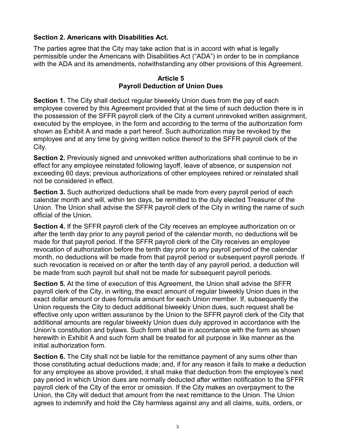## **Section 2. Americans with Disabilities Act.**

The parties agree that the City may take action that is in accord with what is legally permissible under the Americans with Disabilities Act ("ADA") in order to be in compliance with the ADA and its amendments, notwithstanding any other provisions of this Agreement.

#### **Article 5 Payroll Deduction of Union Dues**

**Section 1.** The City shall deduct regular biweekly Union dues from the pay of each employee covered by this Agreement provided that at the time of such deduction there is in the possession of the SFFR payroll clerk of the City a current unrevoked written assignment, executed by the employee, in the form and according to the terms of the authorization form shown as Exhibit A and made a part hereof. Such authorization may be revoked by the employee and at any time by giving written notice thereof to the SFFR payroll clerk of the City.

**Section 2.** Previously signed and unrevoked written authorizations shall continue to be in effect for any employee reinstated following layoff, leave of absence, or suspension not exceeding 60 days; previous authorizations of other employees rehired or reinstated shall not be considered in effect.

**Section 3.** Such authorized deductions shall be made from every payroll period of each calendar month and will, within ten days, be remitted to the duly elected Treasurer of the Union. The Union shall advise the SFFR payroll clerk of the City in writing the name of such official of the Union.

**Section 4.** If the SFFR payroll clerk of the City receives an employee authorization on or after the tenth day prior to any payroll period of the calendar month, no deductions will be made for that payroll period. If the SFFR payroll clerk of the City receives an employee revocation of authorization before the tenth day prior to any payroll period of the calendar month, no deductions will be made from that payroll period or subsequent payroll periods. If such revocation is received on or after the tenth day of any payroll period, a deduction will be made from such payroll but shall not be made for subsequent payroll periods.

**Section 5.** At the time of execution of this Agreement, the Union shall advise the SFFR payroll clerk of the City, in writing, the exact amount of regular biweekly Union dues in the exact dollar amount or dues formula amount for each Union member. If, subsequently the Union requests the City to deduct additional biweekly Union dues, such request shall be effective only upon written assurance by the Union to the SFFR payroll clerk of the City that additional amounts are regular biweekly Union dues duly approved in accordance with the Union's constitution and bylaws. Such form shall be in accordance with the form as shown herewith in Exhibit A and such form shall be treated for all purpose in like manner as the initial authorization form.

**Section 6.** The City shall not be liable for the remittance payment of any sums other than those constituting actual deductions made; and, if for any reason it fails to make a deduction for any employee as above provided, it shall make that deduction from the employee's next pay period in which Union dues are normally deducted after written notification to the SFFR payroll clerk of the City of the error or omission. If the City makes an overpayment to the Union, the City will deduct that amount from the next remittance to the Union. The Union agrees to indemnify and hold the City harmless against any and all claims, suits, orders, or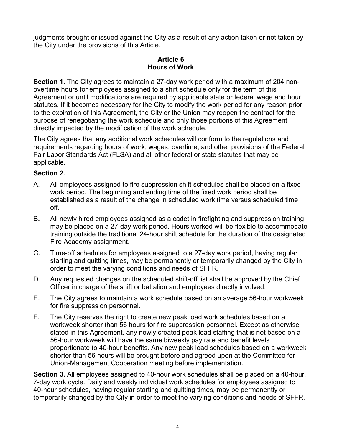judgments brought or issued against the City as a result of any action taken or not taken by the City under the provisions of this Article.

#### **Article 6 Hours of Work**

**Section 1.** The City agrees to maintain a 27-day work period with a maximum of 204 nonovertime hours for employees assigned to a shift schedule only for the term of this Agreement or until modifications are required by applicable state or federal wage and hour statutes. If it becomes necessary for the City to modify the work period for any reason prior to the expiration of this Agreement, the City or the Union may reopen the contract for the purpose of renegotiating the work schedule and only those portions of this Agreement directly impacted by the modification of the work schedule.

The City agrees that any additional work schedules will conform to the regulations and requirements regarding hours of work, wages, overtime, and other provisions of the Federal Fair Labor Standards Act (FLSA) and all other federal or state statutes that may be applicable.

## **Section 2.**

- A. All employees assigned to fire suppression shift schedules shall be placed on a fixed work period. The beginning and ending time of the fixed work period shall be established as a result of the change in scheduled work time versus scheduled time off.
- B**.** All newly hired employees assigned as a cadet in firefighting and suppression training may be placed on a 27-day work period. Hours worked will be flexible to accommodate training outside the traditional 24-hour shift schedule for the duration of the designated Fire Academy assignment.
- C. Time-off schedules for employees assigned to a 27-day work period, having regular starting and quitting times, may be permanently or temporarily changed by the City in order to meet the varying conditions and needs of SFFR.
- D. Any requested changes on the scheduled shift-off list shall be approved by the Chief Officer in charge of the shift or battalion and employees directly involved.
- E. The City agrees to maintain a work schedule based on an average 56-hour workweek for fire suppression personnel.
- F. The City reserves the right to create new peak load work schedules based on a workweek shorter than 56 hours for fire suppression personnel. Except as otherwise stated in this Agreement, any newly created peak load staffing that is not based on a 56-hour workweek will have the same biweekly pay rate and benefit levels proportionate to 40-hour benefits. Any new peak load schedules based on a workweek shorter than 56 hours will be brought before and agreed upon at the Committee for Union-Management Cooperation meeting before implementation.

**Section 3.** All employees assigned to 40-hour work schedules shall be placed on a 40-hour, 7-day work cycle. Daily and weekly individual work schedules for employees assigned to 40-hour schedules, having regular starting and quitting times, may be permanently or temporarily changed by the City in order to meet the varying conditions and needs of SFFR.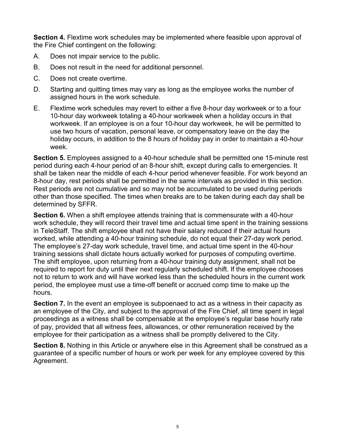**Section 4.** Flextime work schedules may be implemented where feasible upon approval of the Fire Chief contingent on the following:

- A. Does not impair service to the public.
- B. Does not result in the need for additional personnel.
- C. Does not create overtime.
- D. Starting and quitting times may vary as long as the employee works the number of assigned hours in the work schedule.
- E. Flextime work schedules may revert to either a five 8-hour day workweek or to a four 10-hour day workweek totaling a 40-hour workweek when a holiday occurs in that workweek. If an employee is on a four 10-hour day workweek, he will be permitted to use two hours of vacation, personal leave, or compensatory leave on the day the holiday occurs, in addition to the 8 hours of holiday pay in order to maintain a 40-hour week.

**Section 5.** Employees assigned to a 40-hour schedule shall be permitted one 15-minute rest period during each 4-hour period of an 8-hour shift, except during calls to emergencies. It shall be taken near the middle of each 4-hour period whenever feasible. For work beyond an 8-hour day, rest periods shall be permitted in the same intervals as provided in this section. Rest periods are not cumulative and so may not be accumulated to be used during periods other than those specified. The times when breaks are to be taken during each day shall be determined by SFFR.

**Section 6.** When a shift employee attends training that is commensurate with a 40-hour work schedule, they will record their travel time and actual time spent in the training sessions in TeleStaff. The shift employee shall not have their salary reduced if their actual hours worked, while attending a 40-hour training schedule, do not equal their 27-day work period. The employee's 27-day work schedule, travel time, and actual time spent in the 40-hour training sessions shall dictate hours actually worked for purposes of computing overtime. The shift employee, upon returning from a 40-hour training duty assignment, shall not be required to report for duty until their next regularly scheduled shift. If the employee chooses not to return to work and will have worked less than the scheduled hours in the current work period, the employee must use a time-off benefit or accrued comp time to make up the hours.

**Section 7.** In the event an employee is subpoenaed to act as a witness in their capacity as an employee of the City, and subject to the approval of the Fire Chief, all time spent in legal proceedings as a witness shall be compensable at the employee's regular base hourly rate of pay, provided that all witness fees, allowances, or other remuneration received by the employee for their participation as a witness shall be promptly delivered to the City.

**Section 8.** Nothing in this Article or anywhere else in this Agreement shall be construed as a guarantee of a specific number of hours or work per week for any employee covered by this Agreement.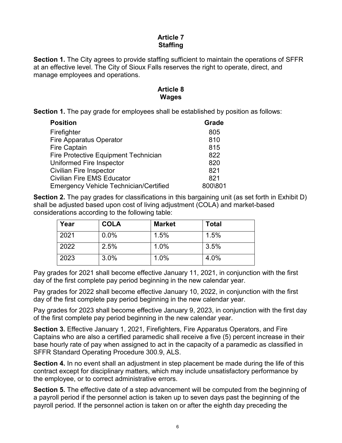#### **Article 7 Staffing**

**Section 1.** The City agrees to provide staffing sufficient to maintain the operations of SFFR at an effective level. The City of Sioux Falls reserves the right to operate, direct, and manage employees and operations.

#### **Article 8 Wages**

**Section 1.** The pay grade for employees shall be established by position as follows:

| <b>Position</b>                               | Grade   |
|-----------------------------------------------|---------|
| Firefighter                                   | 805     |
| <b>Fire Apparatus Operator</b>                | 810     |
| <b>Fire Captain</b>                           | 815     |
| <b>Fire Protective Equipment Technician</b>   | 822     |
| Uniformed Fire Inspector                      | 820     |
| <b>Civilian Fire Inspector</b>                | 821     |
| <b>Civilian Fire EMS Educator</b>             | 821     |
| <b>Emergency Vehicle Technician/Certified</b> | 800\801 |

**Section 2.** The pay grades for classifications in this bargaining unit (as set forth in Exhibit D) shall be adjusted based upon cost of living adjustment (COLA) and market-based considerations according to the following table:

| Year | <b>COLA</b> | <b>Market</b> | <b>Total</b> |
|------|-------------|---------------|--------------|
| 2021 | 0.0%        | 1.5%          | 1.5%         |
| 2022 | 2.5%        | 1.0%          | 3.5%         |
| 2023 | 3.0%        | 1.0%          | 4.0%         |

Pay grades for 2021 shall become effective January 11, 2021, in conjunction with the first day of the first complete pay period beginning in the new calendar year.

Pay grades for 2022 shall become effective January 10, 2022, in conjunction with the first day of the first complete pay period beginning in the new calendar year.

Pay grades for 2023 shall become effective January 9, 2023, in conjunction with the first day of the first complete pay period beginning in the new calendar year.

**Section 3.** Effective January 1, 2021, Firefighters, Fire Apparatus Operators, and Fire Captains who are also a certified paramedic shall receive a five (5) percent increase in their base hourly rate of pay when assigned to act in the capacity of a paramedic as classified in SFFR Standard Operating Procedure 300.9, ALS.

**Section 4.** In no event shall an adjustment in step placement be made during the life of this contract except for disciplinary matters, which may include unsatisfactory performance by the employee, or to correct administrative errors.

**Section 5.** The effective date of a step advancement will be computed from the beginning of a payroll period if the personnel action is taken up to seven days past the beginning of the payroll period. If the personnel action is taken on or after the eighth day preceding the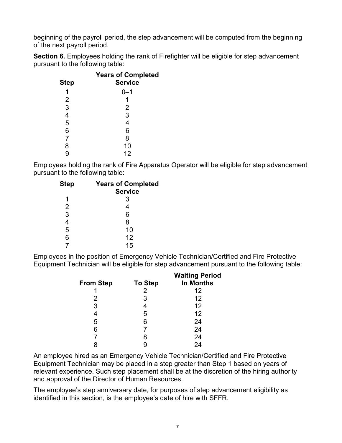beginning of the payroll period, the step advancement will be computed from the beginning of the next payroll period.

**Section 6.** Employees holding the rank of Firefighter will be eligible for step advancement pursuant to the following table:

|                | <b>Years of Completed</b> |
|----------------|---------------------------|
| <b>Step</b>    | <b>Service</b>            |
| 1              | 0–1                       |
| $\overline{2}$ |                           |
| 3              | 2                         |
| $\overline{4}$ | 3                         |
| 5              | 4                         |
| 6              | 6                         |
| $\overline{7}$ | 8                         |
| 8              | 10                        |
|                | 12                        |

Employees holding the rank of Fire Apparatus Operator will be eligible for step advancement pursuant to the following table:

| <b>Step</b>    | <b>Years of Completed</b> |
|----------------|---------------------------|
|                | <b>Service</b>            |
| 1              | 3                         |
| $\overline{2}$ | 4                         |
| 3              | 6                         |
| 4              | 8                         |
| 5              | 10                        |
| 6              | 12                        |
|                | 15                        |

Employees in the position of Emergency Vehicle Technician/Certified and Fire Protective Equipment Technician will be eligible for step advancement pursuant to the following table:

| <b>From Step</b> | <b>To Step</b> | <b>Waiting Period</b><br><b>In Months</b> |
|------------------|----------------|-------------------------------------------|
|                  | 2              | 12                                        |
| 2                | 3              | 12                                        |
| 3                |                | 12                                        |
|                  | 5              | 12                                        |
| 5                | 6              | 24                                        |
| 6                |                | 24                                        |
|                  | 8              | 24                                        |
|                  |                | 24                                        |
|                  |                |                                           |

An employee hired as an Emergency Vehicle Technician/Certified and Fire Protective Equipment Technician may be placed in a step greater than Step 1 based on years of relevant experience. Such step placement shall be at the discretion of the hiring authority and approval of the Director of Human Resources.

The employee's step anniversary date, for purposes of step advancement eligibility as identified in this section, is the employee's date of hire with SFFR.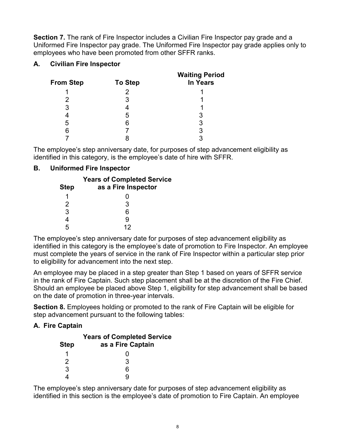**Section 7.** The rank of Fire Inspector includes a Civilian Fire Inspector pay grade and a Uniformed Fire Inspector pay grade. The Uniformed Fire Inspector pay grade applies only to employees who have been promoted from other SFFR ranks.

## **A. Civilian Fire Inspector**

| <b>From Step</b> | <b>To Step</b> | <b>Waiting Period</b><br><b>In Years</b> |
|------------------|----------------|------------------------------------------|
|                  | 2              |                                          |
|                  | 3              |                                          |
| 3                |                |                                          |
|                  | 5              |                                          |
| 5                | Բ              | 3                                        |
| 6                |                |                                          |
|                  |                |                                          |

The employee's step anniversary date, for purposes of step advancement eligibility as identified in this category, is the employee's date of hire with SFFR.

## **B. Uniformed Fire Inspector**

The employee's step anniversary date for purposes of step advancement eligibility as identified in this category is the employee's date of promotion to Fire Inspector. An employee must complete the years of service in the rank of Fire Inspector within a particular step prior to eligibility for advancement into the next step.

An employee may be placed in a step greater than Step 1 based on years of SFFR service in the rank of Fire Captain. Such step placement shall be at the discretion of the Fire Chief. Should an employee be placed above Step 1, eligibility for step advancement shall be based on the date of promotion in three-year intervals.

**Section 8.** Employees holding or promoted to the rank of Fire Captain will be eligible for step advancement pursuant to the following tables:

## **A. Fire Captain**

|               | <b>Years of Completed Service</b> |
|---------------|-----------------------------------|
| <b>Step</b>   | as a Fire Captain                 |
|               |                                   |
| $\mathcal{P}$ | З                                 |
| 3             | ี่ค                               |
|               |                                   |

The employee's step anniversary date for purposes of step advancement eligibility as identified in this section is the employee's date of promotion to Fire Captain. An employee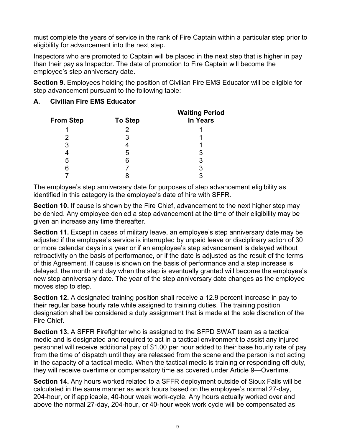must complete the years of service in the rank of Fire Captain within a particular step prior to eligibility for advancement into the next step.

Inspectors who are promoted to Captain will be placed in the next step that is higher in pay than their pay as Inspector. The date of promotion to Fire Captain will become the employee's step anniversary date.

**Section 9.** Employees holding the position of Civilian Fire EMS Educator will be eligible for step advancement pursuant to the following table:

#### **A. Civilian Fire EMS Educator**

| <b>From Step</b> | <b>To Step</b> | <b>Waiting Period</b><br><b>In Years</b> |
|------------------|----------------|------------------------------------------|
|                  |                |                                          |
|                  | 3              |                                          |
| 3                |                |                                          |
|                  | b              |                                          |
| 5                | 6              | 3                                        |
| 6                |                | 3                                        |
|                  |                |                                          |

The employee's step anniversary date for purposes of step advancement eligibility as identified in this category is the employee's date of hire with SFFR.

**Section 10.** If cause is shown by the Fire Chief, advancement to the next higher step may be denied. Any employee denied a step advancement at the time of their eligibility may be given an increase any time thereafter.

**Section 11.** Except in cases of military leave, an employee's step anniversary date may be adjusted if the employee's service is interrupted by unpaid leave or disciplinary action of 30 or more calendar days in a year or if an employee's step advancement is delayed without retroactivity on the basis of performance, or if the date is adjusted as the result of the terms of this Agreement. If cause is shown on the basis of performance and a step increase is delayed, the month and day when the step is eventually granted will become the employee's new step anniversary date. The year of the step anniversary date changes as the employee moves step to step.

**Section 12.** A designated training position shall receive a 12.9 percent increase in pay to their regular base hourly rate while assigned to training duties. The training position designation shall be considered a duty assignment that is made at the sole discretion of the Fire Chief.

**Section 13.** A SFFR Firefighter who is assigned to the SFPD SWAT team as a tactical medic and is designated and required to act in a tactical environment to assist any injured personnel will receive additional pay of \$1.00 per hour added to their base hourly rate of pay from the time of dispatch until they are released from the scene and the person is not acting in the capacity of a tactical medic. When the tactical medic is training or responding off duty, they will receive overtime or compensatory time as covered under Article 9—Overtime.

**Section 14.** Any hours worked related to a SFFR deployment outside of Sioux Falls will be calculated in the same manner as work hours based on the employee's normal 27-day, 204-hour, or if applicable, 40-hour week work-cycle. Any hours actually worked over and above the normal 27-day, 204-hour, or 40-hour week work cycle will be compensated as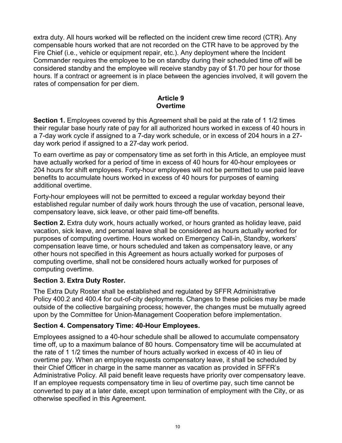extra duty. All hours worked will be reflected on the incident crew time record (CTR). Any compensable hours worked that are not recorded on the CTR have to be approved by the Fire Chief (i.e., vehicle or equipment repair, etc.). Any deployment where the Incident Commander requires the employee to be on standby during their scheduled time off will be considered standby and the employee will receive standby pay of \$1.70 per hour for those hours. If a contract or agreement is in place between the agencies involved, it will govern the rates of compensation for per diem.

#### **Article 9 Overtime**

**Section 1.** Employees covered by this Agreement shall be paid at the rate of 1 1/2 times their regular base hourly rate of pay for all authorized hours worked in excess of 40 hours in a 7-day work cycle if assigned to a 7-day work schedule, or in excess of 204 hours in a 27 day work period if assigned to a 27-day work period.

To earn overtime as pay or compensatory time as set forth in this Article, an employee must have actually worked for a period of time in excess of 40 hours for 40-hour employees or 204 hours for shift employees. Forty-hour employees will not be permitted to use paid leave benefits to accumulate hours worked in excess of 40 hours for purposes of earning additional overtime.

Forty-hour employees will not be permitted to exceed a regular workday beyond their established regular number of daily work hours through the use of vacation, personal leave, compensatory leave, sick leave, or other paid time-off benefits.

**Section 2.** Extra duty work, hours actually worked, or hours granted as holiday leave, paid vacation, sick leave, and personal leave shall be considered as hours actually worked for purposes of computing overtime. Hours worked on Emergency Call-in, Standby, workers' compensation leave time, or hours scheduled and taken as compensatory leave, or any other hours not specified in this Agreement as hours actually worked for purposes of computing overtime, shall not be considered hours actually worked for purposes of computing overtime.

## **Section 3. Extra Duty Roster.**

The Extra Duty Roster shall be established and regulated by SFFR Administrative Policy 400.2 and 400.4 for out-of-city deployments. Changes to these policies may be made outside of the collective bargaining process; however, the changes must be mutually agreed upon by the Committee for Union-Management Cooperation before implementation.

## **Section 4. Compensatory Time: 40-Hour Employees.**

Employees assigned to a 40-hour schedule shall be allowed to accumulate compensatory time off, up to a maximum balance of 80 hours. Compensatory time will be accumulated at the rate of 1 1/2 times the number of hours actually worked in excess of 40 in lieu of overtime pay. When an employee requests compensatory leave, it shall be scheduled by their Chief Officer in charge in the same manner as vacation as provided in SFFR's Administrative Policy. All paid benefit leave requests have priority over compensatory leave. If an employee requests compensatory time in lieu of overtime pay, such time cannot be converted to pay at a later date, except upon termination of employment with the City, or as otherwise specified in this Agreement.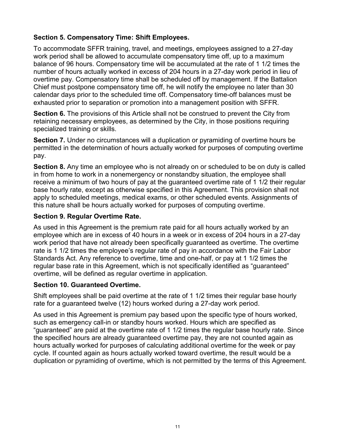## **Section 5. Compensatory Time: Shift Employees.**

To accommodate SFFR training, travel, and meetings, employees assigned to a 27-day work period shall be allowed to accumulate compensatory time off, up to a maximum balance of 96 hours. Compensatory time will be accumulated at the rate of 1 1/2 times the number of hours actually worked in excess of 204 hours in a 27-day work period in lieu of overtime pay. Compensatory time shall be scheduled off by management. If the Battalion Chief must postpone compensatory time off, he will notify the employee no later than 30 calendar days prior to the scheduled time off. Compensatory time-off balances must be exhausted prior to separation or promotion into a management position with SFFR.

**Section 6.** The provisions of this Article shall not be construed to prevent the City from retaining necessary employees, as determined by the City, in those positions requiring specialized training or skills.

**Section 7.** Under no circumstances will a duplication or pyramiding of overtime hours be permitted in the determination of hours actually worked for purposes of computing overtime pay.

**Section 8.** Any time an employee who is not already on or scheduled to be on duty is called in from home to work in a nonemergency or nonstandby situation, the employee shall receive a minimum of two hours of pay at the guaranteed overtime rate of 1 1/2 their regular base hourly rate, except as otherwise specified in this Agreement. This provision shall not apply to scheduled meetings, medical exams, or other scheduled events. Assignments of this nature shall be hours actually worked for purposes of computing overtime.

#### **Section 9. Regular Overtime Rate.**

As used in this Agreement is the premium rate paid for all hours actually worked by an employee which are in excess of 40 hours in a week or in excess of 204 hours in a 27-day work period that have not already been specifically guaranteed as overtime. The overtime rate is 1 1/2 times the employee's regular rate of pay in accordance with the Fair Labor Standards Act. Any reference to overtime, time and one-half, or pay at 1 1/2 times the regular base rate in this Agreement, which is not specifically identified as "guaranteed" overtime, will be defined as regular overtime in application.

#### **Section 10. Guaranteed Overtime.**

Shift employees shall be paid overtime at the rate of 1 1/2 times their regular base hourly rate for a guaranteed twelve (12) hours worked during a 27-day work period.

As used in this Agreement is premium pay based upon the specific type of hours worked, such as emergency call-in or standby hours worked. Hours which are specified as "guaranteed" are paid at the overtime rate of 1 1/2 times the regular base hourly rate. Since the specified hours are already guaranteed overtime pay, they are not counted again as hours actually worked for purposes of calculating additional overtime for the week or pay cycle. If counted again as hours actually worked toward overtime, the result would be a duplication or pyramiding of overtime, which is not permitted by the terms of this Agreement.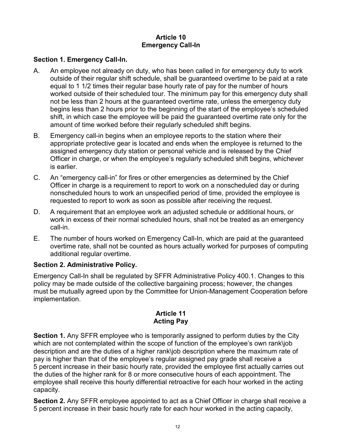#### **Article 10 Emergency Call-In**

#### **Section 1. Emergency Call-In.**

- A. An employee not already on duty, who has been called in for emergency duty to work outside of their regular shift schedule, shall be guaranteed overtime to be paid at a rate equal to 1 1/2 times their regular base hourly rate of pay for the number of hours worked outside of their scheduled tour. The minimum pay for this emergency duty shall not be less than 2 hours at the guaranteed overtime rate, unless the emergency duty begins less than 2 hours prior to the beginning of the start of the employee's scheduled shift, in which case the employee will be paid the guaranteed overtime rate only for the amount of time worked before their regularly scheduled shift begins.
- B. Emergency call-in begins when an employee reports to the station where their appropriate protective gear is located and ends when the employee is returned to the assigned emergency duty station or personal vehicle and is released by the Chief Officer in charge, or when the employee's regularly scheduled shift begins, whichever is earlier.
- C. An "emergency call-in" for fires or other emergencies as determined by the Chief Officer in charge is a requirement to report to work on a nonscheduled day or during nonscheduled hours to work an unspecified period of time, provided the employee is requested to report to work as soon as possible after receiving the request.
- D. A requirement that an employee work an adjusted schedule or additional hours, or work in excess of their normal scheduled hours, shall not be treated as an emergency call-in.
- E. The number of hours worked on Emergency Call-In, which are paid at the guaranteed overtime rate, shall not be counted as hours actually worked for purposes of computing additional regular overtime.

#### **Section 2. Administrative Policy.**

Emergency Call-In shall be regulated by SFFR Administrative Policy 400.1. Changes to this policy may be made outside of the collective bargaining process; however, the changes must be mutually agreed upon by the Committee for Union-Management Cooperation before implementation.

## **Article 11 Acting Pay**

**Section 1.** Any SFFR employee who is temporarily assigned to perform duties by the City which are not contemplated within the scope of function of the employee's own rank\job description and are the duties of a higher rank\job description where the maximum rate of pay is higher than that of the employee's regular assigned pay grade shall receive a 5 percent increase in their basic hourly rate, provided the employee first actually carries out the duties of the higher rank for 8 or more consecutive hours of each appointment. The employee shall receive this hourly differential retroactive for each hour worked in the acting capacity.

**Section 2.** Any SFFR employee appointed to act as a Chief Officer in charge shall receive a 5 percent increase in their basic hourly rate for each hour worked in the acting capacity,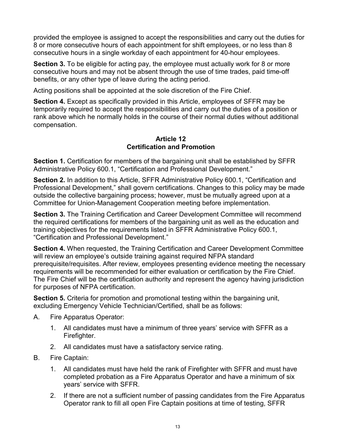provided the employee is assigned to accept the responsibilities and carry out the duties for 8 or more consecutive hours of each appointment for shift employees, or no less than 8 consecutive hours in a single workday of each appointment for 40-hour employees.

**Section 3.** To be eligible for acting pay, the employee must actually work for 8 or more consecutive hours and may not be absent through the use of time trades, paid time-off benefits, or any other type of leave during the acting period.

Acting positions shall be appointed at the sole discretion of the Fire Chief.

**Section 4.** Except as specifically provided in this Article, employees of SFFR may be temporarily required to accept the responsibilities and carry out the duties of a position or rank above which he normally holds in the course of their normal duties without additional compensation.

#### **Article 12 Certification and Promotion**

**Section 1.** Certification for members of the bargaining unit shall be established by SFFR Administrative Policy 600.1, "Certification and Professional Development."

**Section 2.** In addition to this Article, SFFR Administrative Policy 600.1, "Certification and Professional Development," shall govern certifications. Changes to this policy may be made outside the collective bargaining process; however, must be mutually agreed upon at a Committee for Union-Management Cooperation meeting before implementation.

**Section 3.** The Training Certification and Career Development Committee will recommend the required certifications for members of the bargaining unit as well as the education and training objectives for the requirements listed in SFFR Administrative Policy 600.1, "Certification and Professional Development."

**Section 4.** When requested, the Training Certification and Career Development Committee will review an employee's outside training against required NFPA standard prerequisite/requisites. After review, employees presenting evidence meeting the necessary requirements will be recommended for either evaluation or certification by the Fire Chief. The Fire Chief will be the certification authority and represent the agency having jurisdiction for purposes of NFPA certification.

**Section 5.** Criteria for promotion and promotional testing within the bargaining unit, excluding Emergency Vehicle Technician/Certified, shall be as follows:

- A. Fire Apparatus Operator:
	- 1. All candidates must have a minimum of three years' service with SFFR as a Firefighter.
	- 2. All candidates must have a satisfactory service rating.
- B. Fire Captain:
	- 1. All candidates must have held the rank of Firefighter with SFFR and must have completed probation as a Fire Apparatus Operator and have a minimum of six years' service with SFFR.
	- 2. If there are not a sufficient number of passing candidates from the Fire Apparatus Operator rank to fill all open Fire Captain positions at time of testing, SFFR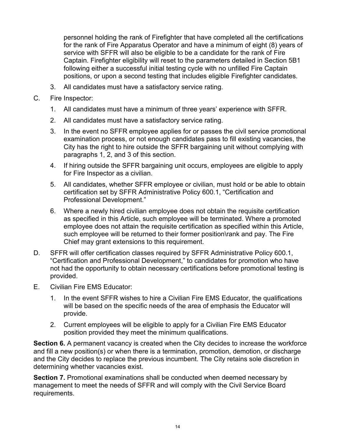personnel holding the rank of Firefighter that have completed all the certifications for the rank of Fire Apparatus Operator and have a minimum of eight (8) years of service with SFFR will also be eligible to be a candidate for the rank of Fire Captain. Firefighter eligibility will reset to the parameters detailed in Section 5B1 following either a successful initial testing cycle with no unfilled Fire Captain positions, or upon a second testing that includes eligible Firefighter candidates.

- 3. All candidates must have a satisfactory service rating.
- C. Fire Inspector:
	- 1. All candidates must have a minimum of three years' experience with SFFR.
	- 2. All candidates must have a satisfactory service rating.
	- 3. In the event no SFFR employee applies for or passes the civil service promotional examination process, or not enough candidates pass to fill existing vacancies, the City has the right to hire outside the SFFR bargaining unit without complying with paragraphs 1, 2, and 3 of this section.
	- 4. If hiring outside the SFFR bargaining unit occurs, employees are eligible to apply for Fire Inspector as a civilian.
	- 5. All candidates, whether SFFR employee or civilian, must hold or be able to obtain certification set by SFFR Administrative Policy 600.1, "Certification and Professional Development."
	- 6. Where a newly hired civilian employee does not obtain the requisite certification as specified in this Article, such employee will be terminated. Where a promoted employee does not attain the requisite certification as specified within this Article, such employee will be returned to their former position\rank and pay. The Fire Chief may grant extensions to this requirement.
- D. SFFR will offer certification classes required by SFFR Administrative Policy 600.1, "Certification and Professional Development," to candidates for promotion who have not had the opportunity to obtain necessary certifications before promotional testing is provided.
- E. Civilian Fire EMS Educator:
	- 1. In the event SFFR wishes to hire a Civilian Fire EMS Educator, the qualifications will be based on the specific needs of the area of emphasis the Educator will provide.
	- 2. Current employees will be eligible to apply for a Civilian Fire EMS Educator position provided they meet the minimum qualifications.

**Section 6.** A permanent vacancy is created when the City decides to increase the workforce and fill a new position(s) or when there is a termination, promotion, demotion, or discharge and the City decides to replace the previous incumbent. The City retains sole discretion in determining whether vacancies exist.

**Section 7.** Promotional examinations shall be conducted when deemed necessary by management to meet the needs of SFFR and will comply with the Civil Service Board requirements.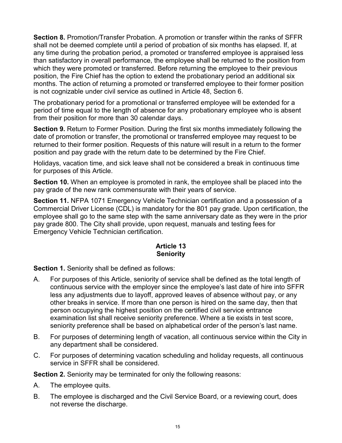**Section 8.** Promotion/Transfer Probation. A promotion or transfer within the ranks of SFFR shall not be deemed complete until a period of probation of six months has elapsed. If, at any time during the probation period, a promoted or transferred employee is appraised less than satisfactory in overall performance, the employee shall be returned to the position from which they were promoted or transferred. Before returning the employee to their previous position, the Fire Chief has the option to extend the probationary period an additional six months. The action of returning a promoted or transferred employee to their former position is not cognizable under civil service as outlined in Article 48, Section 6.

The probationary period for a promotional or transferred employee will be extended for a period of time equal to the length of absence for any probationary employee who is absent from their position for more than 30 calendar days.

**Section 9.** Return to Former Position. During the first six months immediately following the date of promotion or transfer, the promotional or transferred employee may request to be returned to their former position. Requests of this nature will result in a return to the former position and pay grade with the return date to be determined by the Fire Chief.

Holidays, vacation time, and sick leave shall not be considered a break in continuous time for purposes of this Article.

**Section 10.** When an employee is promoted in rank, the employee shall be placed into the pay grade of the new rank commensurate with their years of service.

**Section 11.** NFPA 1071 Emergency Vehicle Technician certification and a possession of a Commercial Driver License (CDL) is mandatory for the 801 pay grade. Upon certification, the employee shall go to the same step with the same anniversary date as they were in the prior pay grade 800. The City shall provide, upon request, manuals and testing fees for Emergency Vehicle Technician certification.

#### **Article 13 Seniority**

**Section 1.** Seniority shall be defined as follows:

- A. For purposes of this Article, seniority of service shall be defined as the total length of continuous service with the employer since the employee's last date of hire into SFFR less any adjustments due to layoff, approved leaves of absence without pay, or any other breaks in service. If more than one person is hired on the same day, then that person occupying the highest position on the certified civil service entrance examination list shall receive seniority preference. Where a tie exists in test score, seniority preference shall be based on alphabetical order of the person's last name.
- B. For purposes of determining length of vacation, all continuous service within the City in any department shall be considered.
- C. For purposes of determining vacation scheduling and holiday requests, all continuous service in SFFR shall be considered.

**Section 2.** Seniority may be terminated for only the following reasons:

- A. The employee quits.
- B. The employee is discharged and the Civil Service Board, or a reviewing court, does not reverse the discharge.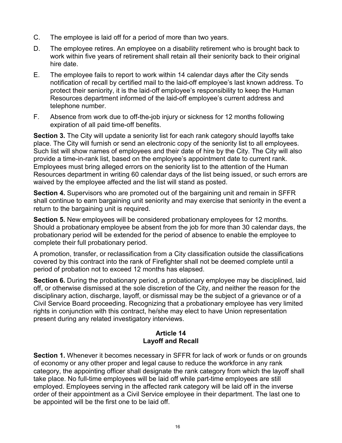- C. The employee is laid off for a period of more than two years.
- D. The employee retires. An employee on a disability retirement who is brought back to work within five years of retirement shall retain all their seniority back to their original hire date.
- E. The employee fails to report to work within 14 calendar days after the City sends notification of recall by certified mail to the laid-off employee's last known address. To protect their seniority, it is the laid-off employee's responsibility to keep the Human Resources department informed of the laid-off employee's current address and telephone number.
- F. Absence from work due to off-the-job injury or sickness for 12 months following expiration of all paid time-off benefits.

**Section 3.** The City will update a seniority list for each rank category should layoffs take place. The City will furnish or send an electronic copy of the seniority list to all employees. Such list will show names of employees and their date of hire by the City. The City will also provide a time-in-rank list, based on the employee's appointment date to current rank. Employees must bring alleged errors on the seniority list to the attention of the Human Resources department in writing 60 calendar days of the list being issued, or such errors are waived by the employee affected and the list will stand as posted.

**Section 4.** Supervisors who are promoted out of the bargaining unit and remain in SFFR shall continue to earn bargaining unit seniority and may exercise that seniority in the event a return to the bargaining unit is required.

**Section 5.** New employees will be considered probationary employees for 12 months. Should a probationary employee be absent from the job for more than 30 calendar days, the probationary period will be extended for the period of absence to enable the employee to complete their full probationary period.

A promotion, transfer, or reclassification from a City classification outside the classifications covered by this contract into the rank of Firefighter shall not be deemed complete until a period of probation not to exceed 12 months has elapsed.

**Section 6.** During the probationary period, a probationary employee may be disciplined, laid off, or otherwise dismissed at the sole discretion of the City, and neither the reason for the disciplinary action, discharge, layoff, or dismissal may be the subject of a grievance or of a Civil Service Board proceeding. Recognizing that a probationary employee has very limited rights in conjunction with this contract, he/she may elect to have Union representation present during any related investigatory interviews.

## **Article 14 Layoff and Recall**

**Section 1.** Whenever it becomes necessary in SFFR for lack of work or funds or on grounds of economy or any other proper and legal cause to reduce the workforce in any rank category, the appointing officer shall designate the rank category from which the layoff shall take place. No full-time employees will be laid off while part-time employees are still employed. Employees serving in the affected rank category will be laid off in the inverse order of their appointment as a Civil Service employee in their department. The last one to be appointed will be the first one to be laid off.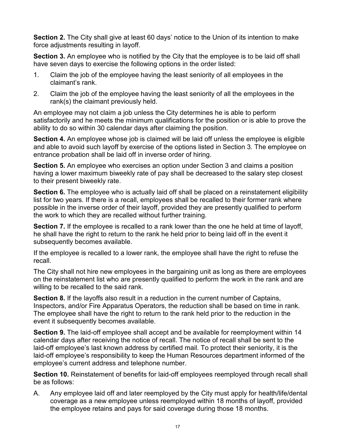**Section 2.** The City shall give at least 60 days' notice to the Union of its intention to make force adjustments resulting in layoff.

**Section 3.** An employee who is notified by the City that the employee is to be laid off shall have seven days to exercise the following options in the order listed:

- 1. Claim the job of the employee having the least seniority of all employees in the claimant's rank.
- 2. Claim the job of the employee having the least seniority of all the employees in the rank(s) the claimant previously held.

An employee may not claim a job unless the City determines he is able to perform satisfactorily and he meets the minimum qualifications for the position or is able to prove the ability to do so within 30 calendar days after claiming the position.

**Section 4.** An employee whose job is claimed will be laid off unless the employee is eligible and able to avoid such layoff by exercise of the options listed in Section 3. The employee on entrance probation shall be laid off in inverse order of hiring.

**Section 5.** An employee who exercises an option under Section 3 and claims a position having a lower maximum biweekly rate of pay shall be decreased to the salary step closest to their present biweekly rate.

**Section 6.** The employee who is actually laid off shall be placed on a reinstatement eligibility list for two years. If there is a recall, employees shall be recalled to their former rank where possible in the inverse order of their layoff, provided they are presently qualified to perform the work to which they are recalled without further training.

**Section 7.** If the employee is recalled to a rank lower than the one he held at time of layoff, he shall have the right to return to the rank he held prior to being laid off in the event it subsequently becomes available.

If the employee is recalled to a lower rank, the employee shall have the right to refuse the recall.

The City shall not hire new employees in the bargaining unit as long as there are employees on the reinstatement list who are presently qualified to perform the work in the rank and are willing to be recalled to the said rank.

**Section 8.** If the layoffs also result in a reduction in the current number of Captains, Inspectors, and/or Fire Apparatus Operators, the reduction shall be based on time in rank. The employee shall have the right to return to the rank held prior to the reduction in the event it subsequently becomes available.

**Section 9.** The laid-off employee shall accept and be available for reemployment within 14 calendar days after receiving the notice of recall. The notice of recall shall be sent to the laid-off employee's last known address by certified mail. To protect their seniority, it is the laid-off employee's responsibility to keep the Human Resources department informed of the employee's current address and telephone number.

**Section 10.** Reinstatement of benefits for laid-off employees reemployed through recall shall be as follows:

A. Any employee laid off and later reemployed by the City must apply for health/life/dental coverage as a new employee unless reemployed within 18 months of layoff, provided the employee retains and pays for said coverage during those 18 months.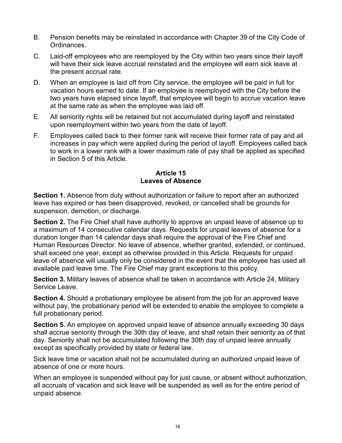- B. Pension benefits may be reinstated in accordance with Chapter 39 of the City Code of Ordinances.
- C. Laid-off employees who are reemployed by the City within two years since their layoff will have their sick leave accrual reinstated and the employee will earn sick leave at the present accrual rate.
- D. When an employee is laid off from City service, the employee will be paid in full for vacation hours earned to date. If an employee is reemployed with the City before the two years have elapsed since layoff, that employee will begin to accrue vacation leave at the same rate as when the employee was laid off.
- E. All seniority rights will be retained but not accumulated during layoff and reinstated upon reemployment within two years from the date of layoff.
- F. Employees called back to their former rank will receive their former rate of pay and all increases in pay which were applied during the period of layoff. Employees called back to work in a lower rank with a lower maximum rate of pay shall be applied as specified in Section 5 of this Article.

#### **Article 15 Leaves of Absence**

**Section 1.** Absence from duty without authorization or failure to report after an authorized leave has expired or has been disapproved, revoked, or cancelled shall be grounds for suspension, demotion, or discharge.

**Section 2.** The Fire Chief shall have authority to approve an unpaid leave of absence up to a maximum of 14 consecutive calendar days. Requests for unpaid leaves of absence for a duration longer than 14 calendar days shall require the approval of the Fire Chief and Human Resources Director. No leave of absence, whether granted, extended, or continued, shall exceed one year, except as otherwise provided in this Article. Requests for unpaid leave of absence will usually only be considered in the event that the employee has used all available paid leave time. The Fire Chief may grant exceptions to this policy.

**Section 3.** Military leaves of absence shall be taken in accordance with Article 24, Military Service Leave.

**Section 4.** Should a probationary employee be absent from the job for an approved leave without pay, the probationary period will be extended to enable the employee to complete a full probationary period.

**Section 5.** An employee on approved unpaid leave of absence annually exceeding 30 days shall accrue seniority through the 30th day of leave, and shall retain their seniority as of that day. Seniority shall not be accumulated following the 30th day of unpaid leave annually except as specifically provided by state or federal law.

Sick leave time or vacation shall not be accumulated during an authorized unpaid leave of absence of one or more hours.

When an employee is suspended without pay for just cause, or absent without authorization, all accruals of vacation and sick leave will be suspended as well as for the entire period of unpaid absence.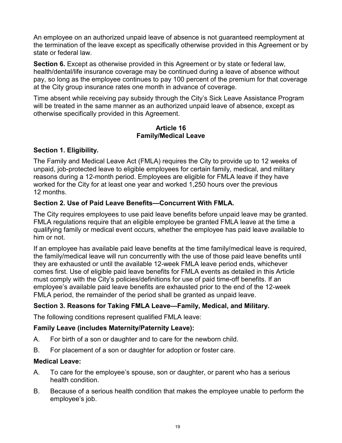An employee on an authorized unpaid leave of absence is not guaranteed reemployment at the termination of the leave except as specifically otherwise provided in this Agreement or by state or federal law.

**Section 6.** Except as otherwise provided in this Agreement or by state or federal law, health/dental/life insurance coverage may be continued during a leave of absence without pay, so long as the employee continues to pay 100 percent of the premium for that coverage at the City group insurance rates one month in advance of coverage.

Time absent while receiving pay subsidy through the City's Sick Leave Assistance Program will be treated in the same manner as an authorized unpaid leave of absence, except as otherwise specifically provided in this Agreement.

#### **Article 16 Family/Medical Leave**

## **Section 1. Eligibility.**

The Family and Medical Leave Act (FMLA) requires the City to provide up to 12 weeks of unpaid, job-protected leave to eligible employees for certain family, medical, and military reasons during a 12-month period. Employees are eligible for FMLA leave if they have worked for the City for at least one year and worked 1,250 hours over the previous 12 months.

## **Section 2. Use of Paid Leave Benefits—Concurrent With FMLA.**

The City requires employees to use paid leave benefits before unpaid leave may be granted. FMLA regulations require that an eligible employee be granted FMLA leave at the time a qualifying family or medical event occurs, whether the employee has paid leave available to him or not.

If an employee has available paid leave benefits at the time family/medical leave is required, the family/medical leave will run concurrently with the use of those paid leave benefits until they are exhausted or until the available 12-week FMLA leave period ends, whichever comes first. Use of eligible paid leave benefits for FMLA events as detailed in this Article must comply with the City's policies/definitions for use of paid time-off benefits. If an employee's available paid leave benefits are exhausted prior to the end of the 12-week FMLA period, the remainder of the period shall be granted as unpaid leave.

## **Section 3. Reasons for Taking FMLA Leave—Family, Medical, and Military.**

The following conditions represent qualified FMLA leave:

## **Family Leave (includes Maternity/Paternity Leave):**

- A. For birth of a son or daughter and to care for the newborn child.
- B. For placement of a son or daughter for adoption or foster care.

#### **Medical Leave:**

- A. To care for the employee's spouse, son or daughter, or parent who has a serious health condition.
- B. Because of a serious health condition that makes the employee unable to perform the employee's job.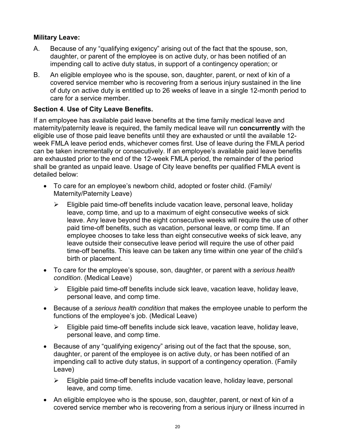## **Military Leave:**

- A. Because of any "qualifying exigency" arising out of the fact that the spouse, son, daughter, or parent of the employee is on active duty, or has been notified of an impending call to active duty status, in support of a contingency operation; or
- B. An eligible employee who is the spouse, son, daughter, parent, or next of kin of a covered service member who is recovering from a serious injury sustained in the line of duty on active duty is entitled up to 26 weeks of leave in a single 12-month period to care for a service member.

## **Section 4**. **Use of City Leave Benefits.**

If an employee has available paid leave benefits at the time family medical leave and maternity/paternity leave is required, the family medical leave will run **concurrently** with the eligible use of those paid leave benefits until they are exhausted or until the available 12 week FMLA leave period ends, whichever comes first. Use of leave during the FMLA period can be taken incrementally or consecutively. If an employee's available paid leave benefits are exhausted prior to the end of the 12-week FMLA period, the remainder of the period shall be granted as unpaid leave. Usage of City leave benefits per qualified FMLA event is detailed below:

- To care for an employee's newborn child, adopted or foster child. (Family/ Maternity/Paternity Leave)
	- $\triangleright$  Eligible paid time-off benefits include vacation leave, personal leave, holiday leave, comp time, and up to a maximum of eight consecutive weeks of sick leave. Any leave beyond the eight consecutive weeks will require the use of other paid time-off benefits, such as vacation, personal leave, or comp time. If an employee chooses to take less than eight consecutive weeks of sick leave, any leave outside their consecutive leave period will require the use of other paid time-off benefits. This leave can be taken any time within one year of the child's birth or placement.
- To care for the employee's spouse, son, daughter, or parent with a *serious health condition*. (Medical Leave)
	- $\triangleright$  Eligible paid time-off benefits include sick leave, vacation leave, holiday leave, personal leave, and comp time.
- Because of a *serious health condition* that makes the employee unable to perform the functions of the employee's job. (Medical Leave)
	- $\triangleright$  Eligible paid time-off benefits include sick leave, vacation leave, holiday leave, personal leave, and comp time.
- Because of any "qualifying exigency" arising out of the fact that the spouse, son, daughter, or parent of the employee is on active duty, or has been notified of an impending call to active duty status, in support of a contingency operation. (Family Leave)
	- $\triangleright$  Eligible paid time-off benefits include vacation leave, holiday leave, personal leave, and comp time.
- An eligible employee who is the spouse, son, daughter, parent, or next of kin of a covered service member who is recovering from a serious injury or illness incurred in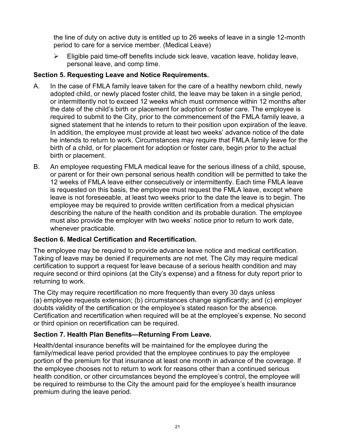the line of duty on active duty is entitled up to 26 weeks of leave in a single 12-month period to care for a service member. (Medical Leave)

 $\triangleright$  Eligible paid time-off benefits include sick leave, vacation leave, holiday leave, personal leave, and comp time.

## **Section 5. Requesting Leave and Notice Requirements.**

- A. In the case of FMLA family leave taken for the care of a healthy newborn child, newly adopted child, or newly placed foster child, the leave may be taken in a single period, or intermittently not to exceed 12 weeks which must commence within 12 months after the date of the child's birth or placement for adoption or foster care. The employee is required to submit to the City, prior to the commencement of the FMLA family leave, a signed statement that he intends to return to their position upon expiration of the leave. In addition, the employee must provide at least two weeks' advance notice of the date he intends to return to work. Circumstances may require that FMLA family leave for the birth of a child, or for placement for adoption or foster care, begin prior to the actual birth or placement.
- B. An employee requesting FMLA medical leave for the serious illness of a child, spouse, or parent or for their own personal serious health condition will be permitted to take the 12 weeks of FMLA leave either consecutively or intermittently. Each time FMLA leave is requested on this basis, the employee must request the FMLA leave, except where leave is not foreseeable, at least two weeks prior to the date the leave is to begin. The employee may be required to provide written certification from a medical physician describing the nature of the health condition and its probable duration. The employee must also provide the employer with two weeks' notice prior to return to work date, whenever practicable.

## **Section 6. Medical Certification and Recertification.**

The employee may be required to provide advance leave notice and medical certification. Taking of leave may be denied if requirements are not met. The City may require medical certification to support a request for leave because of a serious health condition and may require second or third opinions (at the City's expense) and a fitness for duty report prior to returning to work.

The City may require recertification no more frequently than every 30 days unless (a) employee requests extension; (b) circumstances change significantly; and (c) employer doubts validity of the certification or the employee's stated reason for the absence. Certification and recertification when required will be at the employee's expense. No second or third opinion on recertification can be required.

## **Section 7. Health Plan Benefits—Returning From Leave.**

Health/dental insurance benefits will be maintained for the employee during the family/medical leave period provided that the employee continues to pay the employee portion of the premium for that insurance at least one month in advance of the coverage. If the employee chooses not to return to work for reasons other than a continued serious health condition, or other circumstances beyond the employee's control, the employee will be required to reimburse to the City the amount paid for the employee's health insurance premium during the leave period.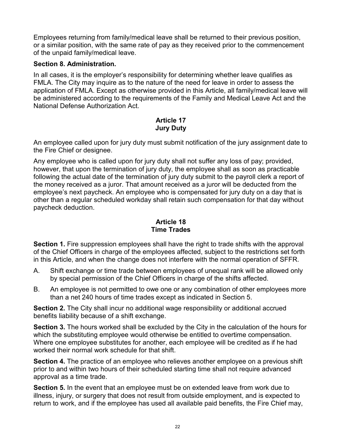Employees returning from family/medical leave shall be returned to their previous position, or a similar position, with the same rate of pay as they received prior to the commencement of the unpaid family/medical leave.

## **Section 8. Administration.**

In all cases, it is the employer's responsibility for determining whether leave qualifies as FMLA. The City may inquire as to the nature of the need for leave in order to assess the application of FMLA. Except as otherwise provided in this Article, all family/medical leave will be administered according to the requirements of the Family and Medical Leave Act and the National Defense Authorization Act.

## **Article 17 Jury Duty**

An employee called upon for jury duty must submit notification of the jury assignment date to the Fire Chief or designee.

Any employee who is called upon for jury duty shall not suffer any loss of pay; provided, however, that upon the termination of jury duty, the employee shall as soon as practicable following the actual date of the termination of jury duty submit to the payroll clerk a report of the money received as a juror. That amount received as a juror will be deducted from the employee's next paycheck. An employee who is compensated for jury duty on a day that is other than a regular scheduled workday shall retain such compensation for that day without paycheck deduction.

#### **Article 18 Time Trades**

**Section 1.** Fire suppression employees shall have the right to trade shifts with the approval of the Chief Officers in charge of the employees affected, subject to the restrictions set forth in this Article, and when the change does not interfere with the normal operation of SFFR.

- A. Shift exchange or time trade between employees of unequal rank will be allowed only by special permission of the Chief Officers in charge of the shifts affected.
- B. An employee is not permitted to owe one or any combination of other employees more than a net 240 hours of time trades except as indicated in Section 5.

**Section 2.** The City shall incur no additional wage responsibility or additional accrued benefits liability because of a shift exchange.

**Section 3.** The hours worked shall be excluded by the City in the calculation of the hours for which the substituting employee would otherwise be entitled to overtime compensation. Where one employee substitutes for another, each employee will be credited as if he had worked their normal work schedule for that shift.

**Section 4.** The practice of an employee who relieves another employee on a previous shift prior to and within two hours of their scheduled starting time shall not require advanced approval as a time trade.

**Section 5.** In the event that an employee must be on extended leave from work due to illness, injury, or surgery that does not result from outside employment, and is expected to return to work, and if the employee has used all available paid benefits, the Fire Chief may,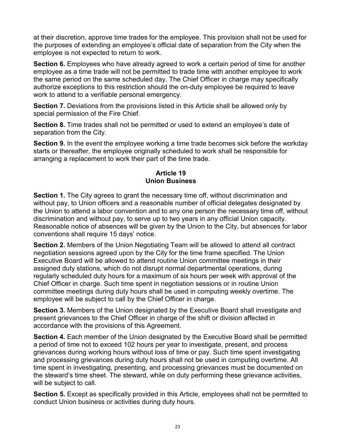at their discretion, approve time trades for the employee. This provision shall not be used for the purposes of extending an employee's official date of separation from the City when the employee is not expected to return to work.

**Section 6.** Employees who have already agreed to work a certain period of time for another employee as a time trade will not be permitted to trade time with another employee to work the same period on the same scheduled day. The Chief Officer in charge may specifically authorize exceptions to this restriction should the on-duty employee be required to leave work to attend to a verifiable personal emergency.

**Section 7.** Deviations from the provisions listed in this Article shall be allowed only by special permission of the Fire Chief.

**Section 8.** Time trades shall not be permitted or used to extend an employee's date of separation from the City.

**Section 9.** In the event the employee working a time trade becomes sick before the workday starts or thereafter, the employee originally scheduled to work shall be responsible for arranging a replacement to work their part of the time trade.

#### **Article 19 Union Business**

**Section 1.** The City agrees to grant the necessary time off, without discrimination and without pay, to Union officers and a reasonable number of official delegates designated by the Union to attend a labor convention and to any one person the necessary time off, without discrimination and without pay, to serve up to two years in any official Union capacity. Reasonable notice of absences will be given by the Union to the City, but absences for labor conventions shall require 15 days' notice.

**Section 2.** Members of the Union Negotiating Team will be allowed to attend all contract negotiation sessions agreed upon by the City for the time frame specified. The Union Executive Board will be allowed to attend routine Union committee meetings in their assigned duty stations, which do not disrupt normal departmental operations, during regularly scheduled duty hours for a maximum of six hours per week with approval of the Chief Officer in charge. Such time spent in negotiation sessions or in routine Union committee meetings during duty hours shall be used in computing weekly overtime. The employee will be subject to call by the Chief Officer in charge.

**Section 3.** Members of the Union designated by the Executive Board shall investigate and present grievances to the Chief Officer in charge of the shift or division affected in accordance with the provisions of this Agreement.

**Section 4.** Each member of the Union designated by the Executive Board shall be permitted a period of time not to exceed 102 hours per year to investigate, present, and process grievances during working hours without loss of time or pay. Such time spent investigating and processing grievances during duty hours shall not be used in computing overtime. All time spent in investigating, presenting, and processing grievances must be documented on the steward's time sheet. The steward, while on duty performing these grievance activities, will be subject to call.

**Section 5.** Except as specifically provided in this Article, employees shall not be permitted to conduct Union business or activities during duty hours.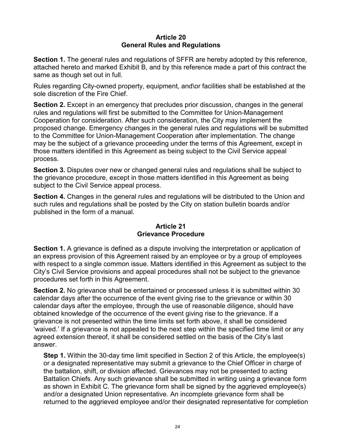#### **Article 20 General Rules and Regulations**

**Section 1.** The general rules and regulations of SFFR are hereby adopted by this reference, attached hereto and marked Exhibit B, and by this reference made a part of this contract the same as though set out in full.

Rules regarding City-owned property, equipment, and\or facilities shall be established at the sole discretion of the Fire Chief.

**Section 2.** Except in an emergency that precludes prior discussion, changes in the general rules and regulations will first be submitted to the Committee for Union-Management Cooperation for consideration. After such consideration, the City may implement the proposed change. Emergency changes in the general rules and regulations will be submitted to the Committee for Union-Management Cooperation after implementation. The change may be the subject of a grievance proceeding under the terms of this Agreement, except in those matters identified in this Agreement as being subject to the Civil Service appeal process.

**Section 3.** Disputes over new or changed general rules and regulations shall be subject to the grievance procedure, except in those matters identified in this Agreement as being subject to the Civil Service appeal process.

**Section 4.** Changes in the general rules and regulations will be distributed to the Union and such rules and regulations shall be posted by the City on station bulletin boards and/or published in the form of a manual.

#### **Article 21 Grievance Procedure**

**Section 1.** A grievance is defined as a dispute involving the interpretation or application of an express provision of this Agreement raised by an employee or by a group of employees with respect to a single common issue. Matters identified in this Agreement as subject to the City's Civil Service provisions and appeal procedures shall not be subject to the grievance procedures set forth in this Agreement.

**Section 2.** No grievance shall be entertained or processed unless it is submitted within 30 calendar days after the occurrence of the event giving rise to the grievance or within 30 calendar days after the employee, through the use of reasonable diligence, should have obtained knowledge of the occurrence of the event giving rise to the grievance. If a grievance is not presented within the time limits set forth above, it shall be considered 'waived.' If a grievance is not appealed to the next step within the specified time limit or any agreed extension thereof, it shall be considered settled on the basis of the City's last answer.

**Step 1.** Within the 30-day time limit specified in Section 2 of this Article, the employee(s) or a designated representative may submit a grievance to the Chief Officer in charge of the battalion, shift, or division affected. Grievances may not be presented to acting Battalion Chiefs. Any such grievance shall be submitted in writing using a grievance form as shown in Exhibit C. The grievance form shall be signed by the aggrieved employee(s) and/or a designated Union representative. An incomplete grievance form shall be returned to the aggrieved employee and/or their designated representative for completion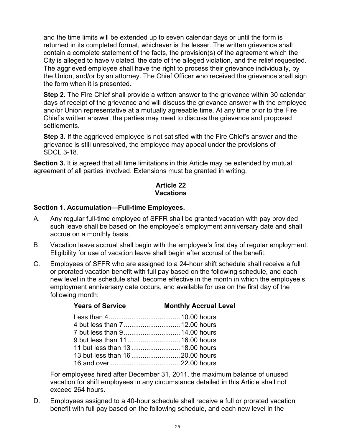and the time limits will be extended up to seven calendar days or until the form is returned in its completed format, whichever is the lesser. The written grievance shall contain a complete statement of the facts, the provision(s) of the agreement which the City is alleged to have violated, the date of the alleged violation, and the relief requested. The aggrieved employee shall have the right to process their grievance individually, by the Union, and/or by an attorney. The Chief Officer who received the grievance shall sign the form when it is presented.

**Step 2.** The Fire Chief shall provide a written answer to the grievance within 30 calendar days of receipt of the grievance and will discuss the grievance answer with the employee and/or Union representative at a mutually agreeable time. At any time prior to the Fire Chief's written answer, the parties may meet to discuss the grievance and proposed settlements.

**Step 3.** If the aggrieved employee is not satisfied with the Fire Chief's answer and the grievance is still unresolved, the employee may appeal under the provisions of SDCL 3-18.

**Section 3.** It is agreed that all time limitations in this Article may be extended by mutual agreement of all parties involved. Extensions must be granted in writing.

#### **Article 22 Vacations**

#### **Section 1. Accumulation—Full-time Employees.**

- A. Any regular full-time employee of SFFR shall be granted vacation with pay provided such leave shall be based on the employee's employment anniversary date and shall accrue on a monthly basis.
- B. Vacation leave accrual shall begin with the employee's first day of regular employment. Eligibility for use of vacation leave shall begin after accrual of the benefit.
- C. Employees of SFFR who are assigned to a 24-hour shift schedule shall receive a full or prorated vacation benefit with full pay based on the following schedule, and each new level in the schedule shall become effective in the month in which the employee's employment anniversary date occurs, and available for use on the first day of the following month:

## **Years of Service Monthly Accrual Level**

| 9 but less than 11 16.00 hours  |  |
|---------------------------------|--|
| 11 but less than 13 18.00 hours |  |
|                                 |  |
|                                 |  |

For employees hired after December 31, 2011, the maximum balance of unused vacation for shift employees in any circumstance detailed in this Article shall not exceed 264 hours.

D. Employees assigned to a 40-hour schedule shall receive a full or prorated vacation benefit with full pay based on the following schedule, and each new level in the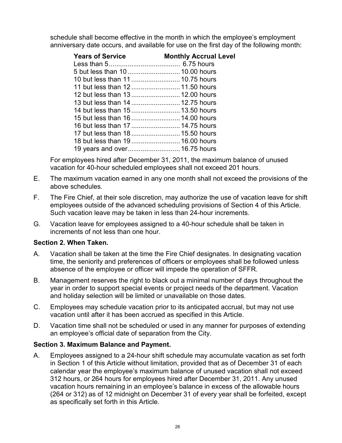schedule shall become effective in the month in which the employee's employment anniversary date occurs, and available for use on the first day of the following month:

| <b>Years of Service</b>          | <b>Monthly Accrual Level</b> |
|----------------------------------|------------------------------|
|                                  |                              |
|                                  |                              |
| 10 but less than 11 10.75 hours  |                              |
| 11 but less than 12 11.50 hours  |                              |
| 12 but less than 13 12.00 hours  |                              |
| 13 but less than 14  12.75 hours |                              |
| 14 but less than 15 13.50 hours  |                              |
| 15 but less than 16 14.00 hours  |                              |
| 16 but less than 17 14.75 hours  |                              |
| 17 but less than 18 15.50 hours  |                              |
| 18 but less than 19  16.00 hours |                              |
| 19 years and over 16.75 hours    |                              |

For employees hired after December 31, 2011, the maximum balance of unused vacation for 40-hour scheduled employees shall not exceed 201 hours.

- E. The maximum vacation earned in any one month shall not exceed the provisions of the above schedules.
- F. The Fire Chief, at their sole discretion, may authorize the use of vacation leave for shift employees outside of the advanced scheduling provisions of Section 4 of this Article. Such vacation leave may be taken in less than 24-hour increments.
- G. Vacation leave for employees assigned to a 40-hour schedule shall be taken in increments of not less than one hour.

## **Section 2. When Taken.**

- A. Vacation shall be taken at the time the Fire Chief designates. In designating vacation time, the seniority and preferences of officers or employees shall be followed unless absence of the employee or officer will impede the operation of SFFR.
- B. Management reserves the right to black out a minimal number of days throughout the year in order to support special events or project needs of the department. Vacation and holiday selection will be limited or unavailable on those dates.
- C. Employees may schedule vacation prior to its anticipated accrual, but may not use vacation until after it has been accrued as specified in this Article.
- D. Vacation time shall not be scheduled or used in any manner for purposes of extending an employee's official date of separation from the City.

## **Section 3. Maximum Balance and Payment.**

A. Employees assigned to a 24-hour shift schedule may accumulate vacation as set forth in Section 1 of this Article without limitation, provided that as of December 31 of each calendar year the employee's maximum balance of unused vacation shall not exceed 312 hours, or 264 hours for employees hired after December 31, 2011. Any unused vacation hours remaining in an employee's balance in excess of the allowable hours (264 or 312) as of 12 midnight on December 31 of every year shall be forfeited, except as specifically set forth in this Article.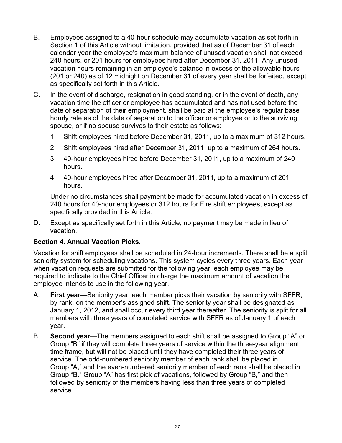- B. Employees assigned to a 40-hour schedule may accumulate vacation as set forth in Section 1 of this Article without limitation, provided that as of December 31 of each calendar year the employee's maximum balance of unused vacation shall not exceed 240 hours, or 201 hours for employees hired after December 31, 2011. Any unused vacation hours remaining in an employee's balance in excess of the allowable hours (201 or 240) as of 12 midnight on December 31 of every year shall be forfeited, except as specifically set forth in this Article.
- C. In the event of discharge, resignation in good standing, or in the event of death, any vacation time the officer or employee has accumulated and has not used before the date of separation of their employment, shall be paid at the employee's regular base hourly rate as of the date of separation to the officer or employee or to the surviving spouse, or if no spouse survives to their estate as follows:
	- 1. Shift employees hired before December 31, 2011, up to a maximum of 312 hours.
	- 2. Shift employees hired after December 31, 2011, up to a maximum of 264 hours.
	- 3. 40-hour employees hired before December 31, 2011, up to a maximum of 240 hours.
	- 4. 40-hour employees hired after December 31, 2011, up to a maximum of 201 hours.

Under no circumstances shall payment be made for accumulated vacation in excess of 240 hours for 40-hour employees or 312 hours for Fire shift employees, except as specifically provided in this Article.

D. Except as specifically set forth in this Article, no payment may be made in lieu of vacation.

#### **Section 4. Annual Vacation Picks.**

Vacation for shift employees shall be scheduled in 24-hour increments. There shall be a split seniority system for scheduling vacations. This system cycles every three years. Each year when vacation requests are submitted for the following year, each employee may be required to indicate to the Chief Officer in charge the maximum amount of vacation the employee intends to use in the following year.

- A. **First year**—Seniority year, each member picks their vacation by seniority with SFFR, by rank, on the member's assigned shift. The seniority year shall be designated as January 1, 2012, and shall occur every third year thereafter. The seniority is split for all members with three years of completed service with SFFR as of January 1 of each year.
- B. **Second year**—The members assigned to each shift shall be assigned to Group "A" or Group "B" if they will complete three years of service within the three-year alignment time frame, but will not be placed until they have completed their three years of service. The odd-numbered seniority member of each rank shall be placed in Group "A," and the even-numbered seniority member of each rank shall be placed in Group "B." Group "A" has first pick of vacations, followed by Group "B," and then followed by seniority of the members having less than three years of completed service.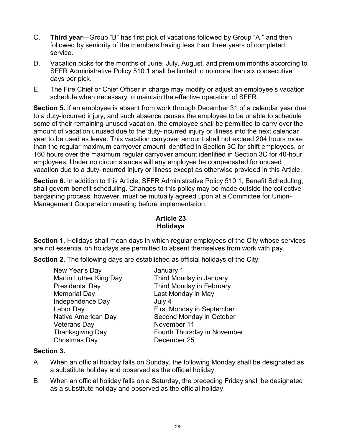- C. **Third year**—Group "B" has first pick of vacations followed by Group "A," and then followed by seniority of the members having less than three years of completed service.
- D. Vacation picks for the months of June, July, August, and premium months according to SFFR Administrative Policy 510.1 shall be limited to no more than six consecutive days per pick.
- E. The Fire Chief or Chief Officer in charge may modify or adjust an employee's vacation schedule when necessary to maintain the effective operation of SFFR.

**Section 5.** If an employee is absent from work through December 31 of a calendar year due to a duty-incurred injury, and such absence causes the employee to be unable to schedule some of their remaining unused vacation, the employee shall be permitted to carry over the amount of vacation unused due to the duty-incurred injury or illness into the next calendar year to be used as leave. This vacation carryover amount shall not exceed 204 hours more than the regular maximum carryover amount identified in Section 3C for shift employees, or 160 hours over the maximum regular carryover amount identified in Section 3C for 40-hour employees. Under no circumstances will any employee be compensated for unused vacation due to a duty-incurred injury or illness except as otherwise provided in this Article.

**Section 6.** In addition to this Article, SFFR Administrative Policy 510.1, Benefit Scheduling, shall govern benefit scheduling. Changes to this policy may be made outside the collective bargaining process; however, must be mutually agreed upon at a Committee for Union-Management Cooperation meeting before implementation.

## **Article 23 Holidays**

**Section 1.** Holidays shall mean days in which regular employees of the City whose services are not essential on holidays are permitted to absent themselves from work with pay.

**Section 2.** The following days are established as official holidays of the City:

| New Year's Day                | January 1                        |
|-------------------------------|----------------------------------|
| <b>Martin Luther King Day</b> | Third Monday in January          |
| Presidents' Day               | Third Monday in February         |
| <b>Memorial Day</b>           | Last Monday in May               |
| Independence Day              | July 4                           |
| Labor Day                     | <b>First Monday in September</b> |
| <b>Native American Day</b>    | Second Monday in October         |
| <b>Veterans Day</b>           | November 11                      |
| <b>Thanksgiving Day</b>       | Fourth Thursday in November      |
| Christmas Day                 | December 25                      |

## **Section 3.**

- A. When an official holiday falls on Sunday, the following Monday shall be designated as a substitute holiday and observed as the official holiday.
- B. When an official holiday falls on a Saturday, the preceding Friday shall be designated as a substitute holiday and observed as the official holiday.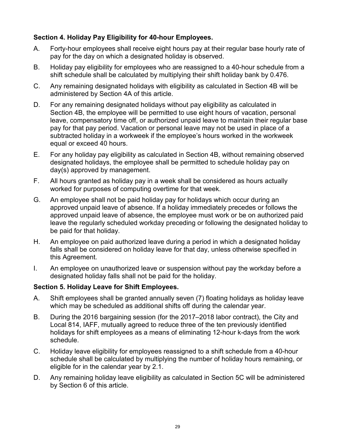## **Section 4. Holiday Pay Eligibility for 40-hour Employees.**

- A. Forty-hour employees shall receive eight hours pay at their regular base hourly rate of pay for the day on which a designated holiday is observed.
- B. Holiday pay eligibility for employees who are reassigned to a 40-hour schedule from a shift schedule shall be calculated by multiplying their shift holiday bank by 0.476.
- C. Any remaining designated holidays with eligibility as calculated in Section 4B will be administered by Section 4A of this article.
- D. For any remaining designated holidays without pay eligibility as calculated in Section 4B, the employee will be permitted to use eight hours of vacation, personal leave, compensatory time off, or authorized unpaid leave to maintain their regular base pay for that pay period. Vacation or personal leave may not be used in place of a subtracted holiday in a workweek if the employee's hours worked in the workweek equal or exceed 40 hours.
- E. For any holiday pay eligibility as calculated in Section 4B, without remaining observed designated holidays, the employee shall be permitted to schedule holiday pay on day(s) approved by management.
- F. All hours granted as holiday pay in a week shall be considered as hours actually worked for purposes of computing overtime for that week.
- G. An employee shall not be paid holiday pay for holidays which occur during an approved unpaid leave of absence. If a holiday immediately precedes or follows the approved unpaid leave of absence, the employee must work or be on authorized paid leave the regularly scheduled workday preceding or following the designated holiday to be paid for that holiday.
- H. An employee on paid authorized leave during a period in which a designated holiday falls shall be considered on holiday leave for that day, unless otherwise specified in this Agreement.
- I. An employee on unauthorized leave or suspension without pay the workday before a designated holiday falls shall not be paid for the holiday.

## **Section 5. Holiday Leave for Shift Employees.**

- A. Shift employees shall be granted annually seven (7) floating holidays as holiday leave which may be scheduled as additional shifts off during the calendar year.
- B. During the 2016 bargaining session (for the 2017–2018 labor contract), the City and Local 814, IAFF, mutually agreed to reduce three of the ten previously identified holidays for shift employees as a means of eliminating 12-hour k-days from the work schedule.
- C. Holiday leave eligibility for employees reassigned to a shift schedule from a 40-hour schedule shall be calculated by multiplying the number of holiday hours remaining, or eligible for in the calendar year by 2.1.
- D. Any remaining holiday leave eligibility as calculated in Section 5C will be administered by Section 6 of this article.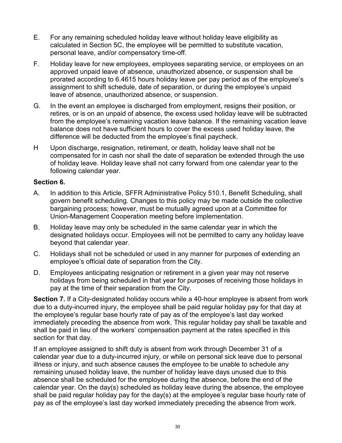- E. For any remaining scheduled holiday leave without holiday leave eligibility as calculated in Section 5C, the employee will be permitted to substitute vacation, personal leave, and/or compensatory time-off.
- F. Holiday leave for new employees, employees separating service, or employees on an approved unpaid leave of absence, unauthorized absence, or suspension shall be prorated according to 6.4615 hours holiday leave per pay period as of the employee's assignment to shift schedule, date of separation, or during the employee's unpaid leave of absence, unauthorized absence, or suspension.
- G. In the event an employee is discharged from employment, resigns their position, or retires, or is on an unpaid of absence, the excess used holiday leave will be subtracted from the employee's remaining vacation leave balance. If the remaining vacation leave balance does not have sufficient hours to cover the excess used holiday leave, the difference will be deducted from the employee's final paycheck.
- H Upon discharge, resignation, retirement, or death, holiday leave shall not be compensated for in cash nor shall the date of separation be extended through the use of holiday leave. Holiday leave shall not carry forward from one calendar year to the following calendar year.

#### **Section 6.**

- A. In addition to this Article, SFFR Administrative Policy 510.1, Benefit Scheduling, shall govern benefit scheduling. Changes to this policy may be made outside the collective bargaining process; however, must be mutually agreed upon at a Committee for Union-Management Cooperation meeting before implementation.
- B. Holiday leave may only be scheduled in the same calendar year in which the designated holidays occur. Employees will not be permitted to carry any holiday leave beyond that calendar year.
- C. Holidays shall not be scheduled or used in any manner for purposes of extending an employee's official date of separation from the City.
- D. Employees anticipating resignation or retirement in a given year may not reserve holidays from being scheduled in that year for purposes of receiving those holidays in pay at the time of their separation from the City.

**Section 7.** If a City-designated holiday occurs while a 40-hour employee is absent from work due to a duty-incurred injury, the employee shall be paid regular holiday pay for that day at the employee's regular base hourly rate of pay as of the employee's last day worked immediately preceding the absence from work. This regular holiday pay shall be taxable and shall be paid in lieu of the workers' compensation payment at the rates specified in this section for that day.

If an employee assigned to shift duty is absent from work through December 31 of a calendar year due to a duty-incurred injury, or while on personal sick leave due to personal illness or injury, and such absence causes the employee to be unable to schedule any remaining unused holiday leave, the number of holiday leave days unused due to this absence shall be scheduled for the employee during the absence, before the end of the calendar year. On the day(s) scheduled as holiday leave during the absence, the employee shall be paid regular holiday pay for the day(s) at the employee's regular base hourly rate of pay as of the employee's last day worked immediately preceding the absence from work.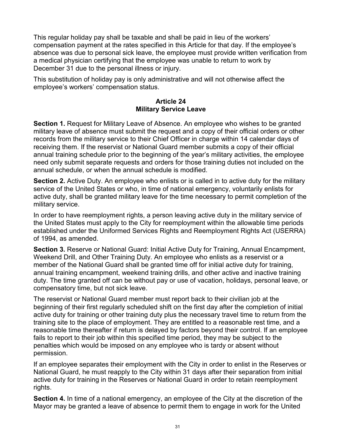This regular holiday pay shall be taxable and shall be paid in lieu of the workers' compensation payment at the rates specified in this Article for that day. If the employee's absence was due to personal sick leave, the employee must provide written verification from a medical physician certifying that the employee was unable to return to work by December 31 due to the personal illness or injury.

This substitution of holiday pay is only administrative and will not otherwise affect the employee's workers' compensation status.

#### **Article 24 Military Service Leave**

**Section 1.** Request for Military Leave of Absence. An employee who wishes to be granted military leave of absence must submit the request and a copy of their official orders or other records from the military service to their Chief Officer in charge within 14 calendar days of receiving them. If the reservist or National Guard member submits a copy of their official annual training schedule prior to the beginning of the year's military activities, the employee need only submit separate requests and orders for those training duties not included on the annual schedule, or when the annual schedule is modified.

**Section 2.** Active Duty. An employee who enlists or is called in to active duty for the military service of the United States or who, in time of national emergency, voluntarily enlists for active duty, shall be granted military leave for the time necessary to permit completion of the military service.

In order to have reemployment rights, a person leaving active duty in the military service of the United States must apply to the City for reemployment within the allowable time periods established under the Uniformed Services Rights and Reemployment Rights Act (USERRA) of 1994, as amended.

**Section 3.** Reserve or National Guard: Initial Active Duty for Training, Annual Encampment, Weekend Drill, and Other Training Duty. An employee who enlists as a reservist or a member of the National Guard shall be granted time off for initial active duty for training, annual training encampment, weekend training drills, and other active and inactive training duty. The time granted off can be without pay or use of vacation, holidays, personal leave, or compensatory time, but not sick leave.

The reservist or National Guard member must report back to their civilian job at the beginning of their first regularly scheduled shift on the first day after the completion of initial active duty for training or other training duty plus the necessary travel time to return from the training site to the place of employment. They are entitled to a reasonable rest time, and a reasonable time thereafter if return is delayed by factors beyond their control. If an employee fails to report to their job within this specified time period, they may be subject to the penalties which would be imposed on any employee who is tardy or absent without permission.

If an employee separates their employment with the City in order to enlist in the Reserves or National Guard, he must reapply to the City within 31 days after their separation from initial active duty for training in the Reserves or National Guard in order to retain reemployment rights.

**Section 4.** In time of a national emergency, an employee of the City at the discretion of the Mayor may be granted a leave of absence to permit them to engage in work for the United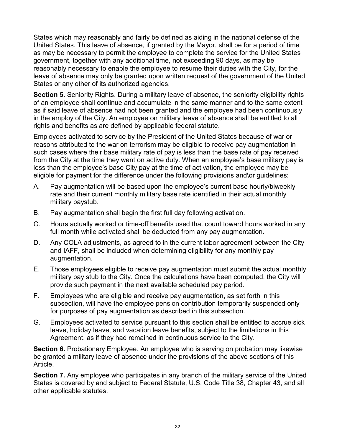States which may reasonably and fairly be defined as aiding in the national defense of the United States. This leave of absence, if granted by the Mayor, shall be for a period of time as may be necessary to permit the employee to complete the service for the United States government, together with any additional time, not exceeding 90 days, as may be reasonably necessary to enable the employee to resume their duties with the City, for the leave of absence may only be granted upon written request of the government of the United States or any other of its authorized agencies.

**Section 5.** Seniority Rights. During a military leave of absence, the seniority eligibility rights of an employee shall continue and accumulate in the same manner and to the same extent as if said leave of absence had not been granted and the employee had been continuously in the employ of the City. An employee on military leave of absence shall be entitled to all rights and benefits as are defined by applicable federal statute.

Employees activated to service by the President of the United States because of war or reasons attributed to the war on terrorism may be eligible to receive pay augmentation in such cases where their base military rate of pay is less than the base rate of pay received from the City at the time they went on active duty. When an employee's base military pay is less than the employee's base City pay at the time of activation, the employee may be eligible for payment for the difference under the following provisions and\or guidelines:

- A. Pay augmentation will be based upon the employee's current base hourly/biweekly rate and their current monthly military base rate identified in their actual monthly military paystub.
- B. Pay augmentation shall begin the first full day following activation.
- C. Hours actually worked or time-off benefits used that count toward hours worked in any full month while activated shall be deducted from any pay augmentation.
- D. Any COLA adjustments, as agreed to in the current labor agreement between the City and IAFF, shall be included when determining eligibility for any monthly pay augmentation.
- E. Those employees eligible to receive pay augmentation must submit the actual monthly military pay stub to the City. Once the calculations have been computed, the City will provide such payment in the next available scheduled pay period.
- F. Employees who are eligible and receive pay augmentation, as set forth in this subsection, will have the employee pension contribution temporarily suspended only for purposes of pay augmentation as described in this subsection.
- G. Employees activated to service pursuant to this section shall be entitled to accrue sick leave, holiday leave, and vacation leave benefits, subject to the limitations in this Agreement, as if they had remained in continuous service to the City.

**Section 6.** Probationary Employee. An employee who is serving on probation may likewise be granted a military leave of absence under the provisions of the above sections of this Article.

**Section 7.** Any employee who participates in any branch of the military service of the United States is covered by and subject to Federal Statute, U.S. Code Title 38, Chapter 43, and all other applicable statutes.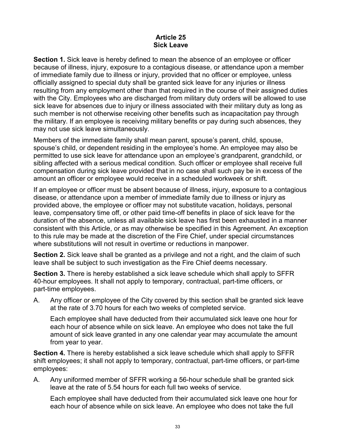#### **Article 25 Sick Leave**

**Section 1.** Sick leave is hereby defined to mean the absence of an employee or officer because of illness, injury, exposure to a contagious disease, or attendance upon a member of immediate family due to illness or injury, provided that no officer or employee, unless officially assigned to special duty shall be granted sick leave for any injuries or illness resulting from any employment other than that required in the course of their assigned duties with the City. Employees who are discharged from military duty orders will be allowed to use sick leave for absences due to injury or illness associated with their military duty as long as such member is not otherwise receiving other benefits such as incapacitation pay through the military. If an employee is receiving military benefits or pay during such absences, they may not use sick leave simultaneously.

Members of the immediate family shall mean parent, spouse's parent, child, spouse, spouse's child, or dependent residing in the employee's home. An employee may also be permitted to use sick leave for attendance upon an employee's grandparent, grandchild, or sibling affected with a serious medical condition. Such officer or employee shall receive full compensation during sick leave provided that in no case shall such pay be in excess of the amount an officer or employee would receive in a scheduled workweek or shift.

If an employee or officer must be absent because of illness, injury, exposure to a contagious disease, or attendance upon a member of immediate family due to illness or injury as provided above, the employee or officer may not substitute vacation, holidays, personal leave, compensatory time off, or other paid time-off benefits in place of sick leave for the duration of the absence, unless all available sick leave has first been exhausted in a manner consistent with this Article, or as may otherwise be specified in this Agreement. An exception to this rule may be made at the discretion of the Fire Chief, under special circumstances where substitutions will not result in overtime or reductions in manpower.

**Section 2.** Sick leave shall be granted as a privilege and not a right, and the claim of such leave shall be subject to such investigation as the Fire Chief deems necessary.

**Section 3.** There is hereby established a sick leave schedule which shall apply to SFFR 40-hour employees. It shall not apply to temporary, contractual, part-time officers, or part-time employees.

A. Any officer or employee of the City covered by this section shall be granted sick leave at the rate of 3.70 hours for each two weeks of completed service.

Each employee shall have deducted from their accumulated sick leave one hour for each hour of absence while on sick leave. An employee who does not take the full amount of sick leave granted in any one calendar year may accumulate the amount from year to year.

**Section 4.** There is hereby established a sick leave schedule which shall apply to SFFR shift employees; it shall not apply to temporary, contractual, part-time officers, or part-time employees:

A. Any uniformed member of SFFR working a 56-hour schedule shall be granted sick leave at the rate of 5.54 hours for each full two weeks of service.

Each employee shall have deducted from their accumulated sick leave one hour for each hour of absence while on sick leave. An employee who does not take the full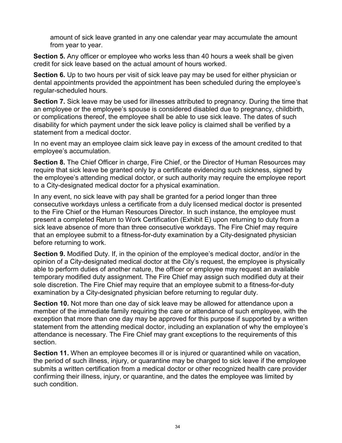amount of sick leave granted in any one calendar year may accumulate the amount from year to year.

**Section 5.** Any officer or employee who works less than 40 hours a week shall be given credit for sick leave based on the actual amount of hours worked.

**Section 6.** Up to two hours per visit of sick leave pay may be used for either physician or dental appointments provided the appointment has been scheduled during the employee's regular-scheduled hours.

**Section 7.** Sick leave may be used for illnesses attributed to pregnancy. During the time that an employee or the employee's spouse is considered disabled due to pregnancy, childbirth, or complications thereof, the employee shall be able to use sick leave. The dates of such disability for which payment under the sick leave policy is claimed shall be verified by a statement from a medical doctor.

In no event may an employee claim sick leave pay in excess of the amount credited to that employee's accumulation.

**Section 8.** The Chief Officer in charge, Fire Chief, or the Director of Human Resources may require that sick leave be granted only by a certificate evidencing such sickness, signed by the employee's attending medical doctor, or such authority may require the employee report to a City-designated medical doctor for a physical examination.

In any event, no sick leave with pay shall be granted for a period longer than three consecutive workdays unless a certificate from a duly licensed medical doctor is presented to the Fire Chief or the Human Resources Director. In such instance, the employee must present a completed Return to Work Certification (Exhibit E) upon returning to duty from a sick leave absence of more than three consecutive workdays. The Fire Chief may require that an employee submit to a fitness-for-duty examination by a City-designated physician before returning to work.

**Section 9.** Modified Duty. If, in the opinion of the employee's medical doctor, and/or in the opinion of a City-designated medical doctor at the City's request, the employee is physically able to perform duties of another nature, the officer or employee may request an available temporary modified duty assignment. The Fire Chief may assign such modified duty at their sole discretion. The Fire Chief may require that an employee submit to a fitness-for-duty examination by a City-designated physician before returning to regular duty.

**Section 10.** Not more than one day of sick leave may be allowed for attendance upon a member of the immediate family requiring the care or attendance of such employee, with the exception that more than one day may be approved for this purpose if supported by a written statement from the attending medical doctor, including an explanation of why the employee's attendance is necessary. The Fire Chief may grant exceptions to the requirements of this section.

**Section 11.** When an employee becomes ill or is injured or quarantined while on vacation, the period of such illness, injury, or quarantine may be charged to sick leave if the employee submits a written certification from a medical doctor or other recognized health care provider confirming their illness, injury, or quarantine, and the dates the employee was limited by such condition.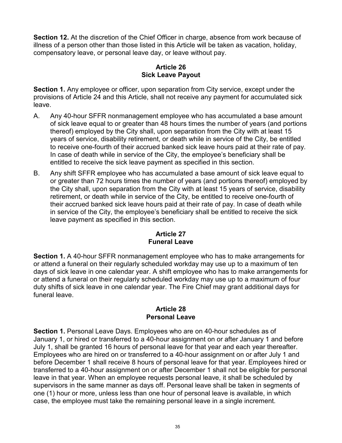**Section 12.** At the discretion of the Chief Officer in charge, absence from work because of illness of a person other than those listed in this Article will be taken as vacation, holiday, compensatory leave, or personal leave day, or leave without pay.

## **Article 26 Sick Leave Payout**

**Section 1.** Any employee or officer, upon separation from City service, except under the provisions of Article 24 and this Article, shall not receive any payment for accumulated sick leave.

- A. Any 40-hour SFFR nonmanagement employee who has accumulated a base amount of sick leave equal to or greater than 48 hours times the number of years (and portions thereof) employed by the City shall, upon separation from the City with at least 15 years of service, disability retirement, or death while in service of the City, be entitled to receive one-fourth of their accrued banked sick leave hours paid at their rate of pay. In case of death while in service of the City, the employee's beneficiary shall be entitled to receive the sick leave payment as specified in this section.
- B. Any shift SFFR employee who has accumulated a base amount of sick leave equal to or greater than 72 hours times the number of years (and portions thereof) employed by the City shall, upon separation from the City with at least 15 years of service, disability retirement, or death while in service of the City, be entitled to receive one-fourth of their accrued banked sick leave hours paid at their rate of pay. In case of death while in service of the City, the employee's beneficiary shall be entitled to receive the sick leave payment as specified in this section.

## **Article 27 Funeral Leave**

**Section 1.** A 40-hour SFFR nonmanagement employee who has to make arrangements for or attend a funeral on their regularly scheduled workday may use up to a maximum of ten days of sick leave in one calendar year. A shift employee who has to make arrangements for or attend a funeral on their regularly scheduled workday may use up to a maximum of four duty shifts of sick leave in one calendar year. The Fire Chief may grant additional days for funeral leave.

#### **Article 28 Personal Leave**

**Section 1.** Personal Leave Days. Employees who are on 40-hour schedules as of January 1, or hired or transferred to a 40-hour assignment on or after January 1 and before July 1, shall be granted 16 hours of personal leave for that year and each year thereafter. Employees who are hired on or transferred to a 40-hour assignment on or after July 1 and before December 1 shall receive 8 hours of personal leave for that year. Employees hired or transferred to a 40-hour assignment on or after December 1 shall not be eligible for personal leave in that year. When an employee requests personal leave, it shall be scheduled by supervisors in the same manner as days off. Personal leave shall be taken in segments of one (1) hour or more, unless less than one hour of personal leave is available, in which case, the employee must take the remaining personal leave in a single increment.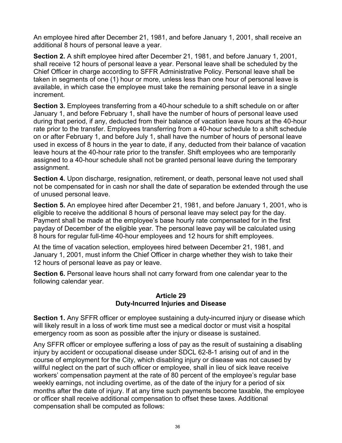An employee hired after December 21, 1981, and before January 1, 2001, shall receive an additional 8 hours of personal leave a year.

**Section 2.** A shift employee hired after December 21, 1981, and before January 1, 2001, shall receive 12 hours of personal leave a year. Personal leave shall be scheduled by the Chief Officer in charge according to SFFR Administrative Policy. Personal leave shall be taken in segments of one (1) hour or more, unless less than one hour of personal leave is available, in which case the employee must take the remaining personal leave in a single increment.

**Section 3.** Employees transferring from a 40-hour schedule to a shift schedule on or after January 1, and before February 1, shall have the number of hours of personal leave used during that period, if any, deducted from their balance of vacation leave hours at the 40-hour rate prior to the transfer. Employees transferring from a 40-hour schedule to a shift schedule on or after February 1, and before July 1, shall have the number of hours of personal leave used in excess of 8 hours in the year to date, if any, deducted from their balance of vacation leave hours at the 40-hour rate prior to the transfer. Shift employees who are temporarily assigned to a 40-hour schedule shall not be granted personal leave during the temporary assignment.

**Section 4.** Upon discharge, resignation, retirement, or death, personal leave not used shall not be compensated for in cash nor shall the date of separation be extended through the use of unused personal leave.

**Section 5.** An employee hired after December 21, 1981, and before January 1, 2001, who is eligible to receive the additional 8 hours of personal leave may select pay for the day. Payment shall be made at the employee's base hourly rate compensated for in the first payday of December of the eligible year. The personal leave pay will be calculated using 8 hours for regular full-time 40-hour employees and 12 hours for shift employees.

At the time of vacation selection, employees hired between December 21, 1981, and January 1, 2001, must inform the Chief Officer in charge whether they wish to take their 12 hours of personal leave as pay or leave.

**Section 6.** Personal leave hours shall not carry forward from one calendar year to the following calendar year.

#### **Article 29 Duty-Incurred Injuries and Disease**

**Section 1.** Any SFFR officer or employee sustaining a duty-incurred injury or disease which will likely result in a loss of work time must see a medical doctor or must visit a hospital emergency room as soon as possible after the injury or disease is sustained.

Any SFFR officer or employee suffering a loss of pay as the result of sustaining a disabling injury by accident or occupational disease under SDCL 62-8-1 arising out of and in the course of employment for the City, which disabling injury or disease was not caused by willful neglect on the part of such officer or employee, shall in lieu of sick leave receive workers' compensation payment at the rate of 80 percent of the employee's regular base weekly earnings, not including overtime, as of the date of the injury for a period of six months after the date of injury. If at any time such payments become taxable, the employee or officer shall receive additional compensation to offset these taxes. Additional compensation shall be computed as follows: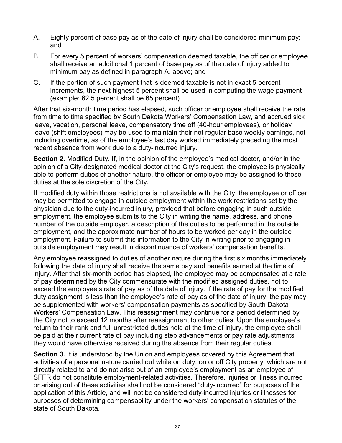- A. Eighty percent of base pay as of the date of injury shall be considered minimum pay; and
- B. For every 5 percent of workers' compensation deemed taxable, the officer or employee shall receive an additional 1 percent of base pay as of the date of injury added to minimum pay as defined in paragraph A. above; and
- C. If the portion of such payment that is deemed taxable is not in exact 5 percent increments, the next highest 5 percent shall be used in computing the wage payment (example: 62.5 percent shall be 65 percent).

After that six-month time period has elapsed, such officer or employee shall receive the rate from time to time specified by South Dakota Workers' Compensation Law, and accrued sick leave, vacation, personal leave, compensatory time off (40-hour employees), or holiday leave (shift employees) may be used to maintain their net regular base weekly earnings, not including overtime, as of the employee's last day worked immediately preceding the most recent absence from work due to a duty-incurred injury.

**Section 2.** Modified Duty. If, in the opinion of the employee's medical doctor, and/or in the opinion of a City-designated medical doctor at the City's request, the employee is physically able to perform duties of another nature, the officer or employee may be assigned to those duties at the sole discretion of the City.

If modified duty within those restrictions is not available with the City, the employee or officer may be permitted to engage in outside employment within the work restrictions set by the physician due to the duty-incurred injury, provided that before engaging in such outside employment, the employee submits to the City in writing the name, address, and phone number of the outside employer, a description of the duties to be performed in the outside employment, and the approximate number of hours to be worked per day in the outside employment. Failure to submit this information to the City in writing prior to engaging in outside employment may result in discontinuance of workers' compensation benefits.

Any employee reassigned to duties of another nature during the first six months immediately following the date of injury shall receive the same pay and benefits earned at the time of injury. After that six-month period has elapsed, the employee may be compensated at a rate of pay determined by the City commensurate with the modified assigned duties, not to exceed the employee's rate of pay as of the date of injury. If the rate of pay for the modified duty assignment is less than the employee's rate of pay as of the date of injury, the pay may be supplemented with workers' compensation payments as specified by South Dakota Workers' Compensation Law. This reassignment may continue for a period determined by the City not to exceed 12 months after reassignment to other duties. Upon the employee's return to their rank and full unrestricted duties held at the time of injury, the employee shall be paid at their current rate of pay including step advancements or pay rate adjustments they would have otherwise received during the absence from their regular duties.

**Section 3.** It is understood by the Union and employees covered by this Agreement that activities of a personal nature carried out while on duty, on or off City property, which are not directly related to and do not arise out of an employee's employment as an employee of SFFR do not constitute employment-related activities. Therefore, injuries or illness incurred or arising out of these activities shall not be considered "duty-incurred" for purposes of the application of this Article, and will not be considered duty-incurred injuries or illnesses for purposes of determining compensability under the workers' compensation statutes of the state of South Dakota.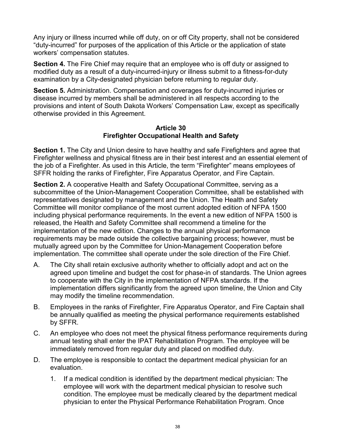Any injury or illness incurred while off duty, on or off City property, shall not be considered "duty-incurred" for purposes of the application of this Article or the application of state workers' compensation statutes.

**Section 4.** The Fire Chief may require that an employee who is off duty or assigned to modified duty as a result of a duty-incurred-injury or illness submit to a fitness-for-duty examination by a City-designated physician before returning to regular duty.

**Section 5.** Administration. Compensation and coverages for duty-incurred injuries or disease incurred by members shall be administered in all respects according to the provisions and intent of South Dakota Workers' Compensation Law, except as specifically otherwise provided in this Agreement.

#### **Article 30 Firefighter Occupational Health and Safety**

**Section 1.** The City and Union desire to have healthy and safe Firefighters and agree that Firefighter wellness and physical fitness are in their best interest and an essential element of the job of a Firefighter. As used in this Article, the term "Firefighter" means employees of SFFR holding the ranks of Firefighter, Fire Apparatus Operator, and Fire Captain.

**Section 2.** A cooperative Health and Safety Occupational Committee, serving as a subcommittee of the Union-Management Cooperation Committee, shall be established with representatives designated by management and the Union. The Health and Safety Committee will monitor compliance of the most current adopted edition of NFPA 1500 including physical performance requirements. In the event a new edition of NFPA 1500 is released, the Health and Safety Committee shall recommend a timeline for the implementation of the new edition. Changes to the annual physical performance requirements may be made outside the collective bargaining process; however, must be mutually agreed upon by the Committee for Union-Management Cooperation before implementation. The committee shall operate under the sole direction of the Fire Chief.

- A. The City shall retain exclusive authority whether to officially adopt and act on the agreed upon timeline and budget the cost for phase-in of standards. The Union agrees to cooperate with the City in the implementation of NFPA standards. If the implementation differs significantly from the agreed upon timeline, the Union and City may modify the timeline recommendation.
- B. Employees in the ranks of Firefighter, Fire Apparatus Operator, and Fire Captain shall be annually qualified as meeting the physical performance requirements established by SFFR.
- C. An employee who does not meet the physical fitness performance requirements during annual testing shall enter the IPAT Rehabilitation Program. The employee will be immediately removed from regular duty and placed on modified duty.
- D. The employee is responsible to contact the department medical physician for an evaluation.
	- 1. If a medical condition is identified by the department medical physician: The employee will work with the department medical physician to resolve such condition. The employee must be medically cleared by the department medical physician to enter the Physical Performance Rehabilitation Program. Once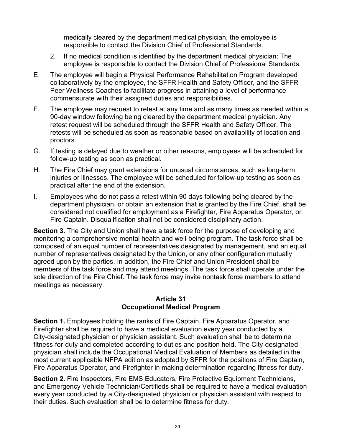medically cleared by the department medical physician, the employee is responsible to contact the Division Chief of Professional Standards.

- 2. If no medical condition is identified by the department medical physician: The employee is responsible to contact the Division Chief of Professional Standards.
- E. The employee will begin a Physical Performance Rehabilitation Program developed collaboratively by the employee, the SFFR Health and Safety Officer, and the SFFR Peer Wellness Coaches to facilitate progress in attaining a level of performance commensurate with their assigned duties and responsibilities.
- F. The employee may request to retest at any time and as many times as needed within a 90-day window following being cleared by the department medical physician. Any retest request will be scheduled through the SFFR Health and Safety Officer. The retests will be scheduled as soon as reasonable based on availability of location and proctors.
- G. If testing is delayed due to weather or other reasons, employees will be scheduled for follow-up testing as soon as practical.
- H. The Fire Chief may grant extensions for unusual circumstances, such as long-term injuries or illnesses. The employee will be scheduled for follow-up testing as soon as practical after the end of the extension.
- I. Employees who do not pass a retest within 90 days following being cleared by the department physician, or obtain an extension that is granted by the Fire Chief, shall be considered not qualified for employment as a Firefighter, Fire Apparatus Operator, or Fire Captain. Disqualification shall not be considered disciplinary action.

**Section 3.** The City and Union shall have a task force for the purpose of developing and monitoring a comprehensive mental health and well-being program. The task force shall be composed of an equal number of representatives designated by management, and an equal number of representatives designated by the Union, or any other configuration mutually agreed upon by the parties. In addition, the Fire Chief and Union President shall be members of the task force and may attend meetings. The task force shall operate under the sole direction of the Fire Chief. The task force may invite nontask force members to attend meetings as necessary.

#### **Article 31 Occupational Medical Program**

**Section 1.** Employees holding the ranks of Fire Captain, Fire Apparatus Operator, and Firefighter shall be required to have a medical evaluation every year conducted by a City-designated physician or physician assistant. Such evaluation shall be to determine fitness-for-duty and completed according to duties and position held. The City-designated physician shall include the Occupational Medical Evaluation of Members as detailed in the most current applicable NFPA edition as adopted by SFFR for the positions of Fire Captain, Fire Apparatus Operator, and Firefighter in making determination regarding fitness for duty.

**Section 2.** Fire Inspectors, Fire EMS Educators, Fire Protective Equipment Technicians, and Emergency Vehicle Technician/Certifieds shall be required to have a medical evaluation every year conducted by a City-designated physician or physician assistant with respect to their duties. Such evaluation shall be to determine fitness for duty.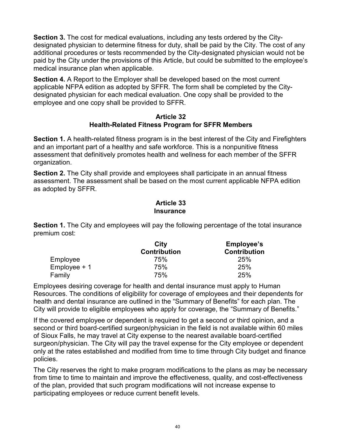**Section 3.** The cost for medical evaluations, including any tests ordered by the Citydesignated physician to determine fitness for duty, shall be paid by the City. The cost of any additional procedures or tests recommended by the City-designated physician would not be paid by the City under the provisions of this Article, but could be submitted to the employee's medical insurance plan when applicable.

**Section 4.** A Report to the Employer shall be developed based on the most current applicable NFPA edition as adopted by SFFR. The form shall be completed by the Citydesignated physician for each medical evaluation. One copy shall be provided to the employee and one copy shall be provided to SFFR.

#### **Article 32 Health-Related Fitness Program for SFFR Members**

**Section 1.** A health-related fitness program is in the best interest of the City and Firefighters and an important part of a healthy and safe workforce. This is a nonpunitive fitness assessment that definitively promotes health and wellness for each member of the SFFR organization.

**Section 2.** The City shall provide and employees shall participate in an annual fitness assessment. The assessment shall be based on the most current applicable NFPA edition as adopted by SFFR.

#### **Article 33 Insurance**

**Section 1.** The City and employees will pay the following percentage of the total insurance premium cost:

|                | City                | <b>Employee's</b>   |
|----------------|---------------------|---------------------|
|                | <b>Contribution</b> | <b>Contribution</b> |
| Employee       | 75%                 | 25%                 |
| $Employee + 1$ | 75%                 | 25%                 |
| Family         | 75%                 | 25%                 |

Employees desiring coverage for health and dental insurance must apply to Human Resources. The conditions of eligibility for coverage of employees and their dependents for health and dental insurance are outlined in the "Summary of Benefits" for each plan. The City will provide to eligible employees who apply for coverage, the "Summary of Benefits."

If the covered employee or dependent is required to get a second or third opinion, and a second or third board-certified surgeon/physician in the field is not available within 60 miles of Sioux Falls, he may travel at City expense to the nearest available board-certified surgeon/physician. The City will pay the travel expense for the City employee or dependent only at the rates established and modified from time to time through City budget and finance policies.

The City reserves the right to make program modifications to the plans as may be necessary from time to time to maintain and improve the effectiveness, quality, and cost-effectiveness of the plan, provided that such program modifications will not increase expense to participating employees or reduce current benefit levels.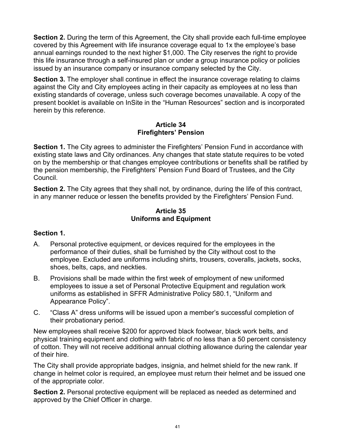**Section 2.** During the term of this Agreement, the City shall provide each full-time employee covered by this Agreement with life insurance coverage equal to 1x the employee's base annual earnings rounded to the next higher \$1,000. The City reserves the right to provide this life insurance through a self-insured plan or under a group insurance policy or policies issued by an insurance company or insurance company selected by the City.

**Section 3.** The employer shall continue in effect the insurance coverage relating to claims against the City and City employees acting in their capacity as employees at no less than existing standards of coverage, unless such coverage becomes unavailable. A copy of the present booklet is available on InSite in the "Human Resources" section and is incorporated herein by this reference.

#### **Article 34 Firefighters' Pension**

**Section 1.** The City agrees to administer the Firefighters' Pension Fund in accordance with existing state laws and City ordinances. Any changes that state statute requires to be voted on by the membership or that changes employee contributions or benefits shall be ratified by the pension membership, the Firefighters' Pension Fund Board of Trustees, and the City Council.

**Section 2.** The City agrees that they shall not, by ordinance, during the life of this contract, in any manner reduce or lessen the benefits provided by the Firefighters' Pension Fund.

#### **Article 35 Uniforms and Equipment**

## **Section 1.**

- A. Personal protective equipment, or devices required for the employees in the performance of their duties, shall be furnished by the City without cost to the employee. Excluded are uniforms including shirts, trousers, coveralls, jackets, socks, shoes, belts, caps, and neckties.
- B. Provisions shall be made within the first week of employment of new uniformed employees to issue a set of Personal Protective Equipment and regulation work uniforms as established in SFFR Administrative Policy 580.1, "Uniform and Appearance Policy".
- C. "Class A" dress uniforms will be issued upon a member's successful completion of their probationary period.

New employees shall receive \$200 for approved black footwear, black work belts, and physical training equipment and clothing with fabric of no less than a 50 percent consistency of cotton. They will not receive additional annual clothing allowance during the calendar year of their hire.

The City shall provide appropriate badges, insignia, and helmet shield for the new rank. If change in helmet color is required, an employee must return their helmet and be issued one of the appropriate color.

**Section 2.** Personal protective equipment will be replaced as needed as determined and approved by the Chief Officer in charge.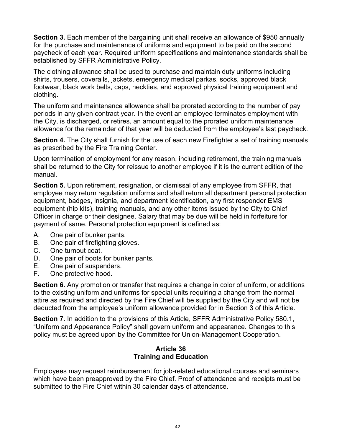**Section 3.** Each member of the bargaining unit shall receive an allowance of \$950 annually for the purchase and maintenance of uniforms and equipment to be paid on the second paycheck of each year. Required uniform specifications and maintenance standards shall be established by SFFR Administrative Policy.

The clothing allowance shall be used to purchase and maintain duty uniforms including shirts, trousers, coveralls, jackets, emergency medical parkas, socks, approved black footwear, black work belts, caps, neckties, and approved physical training equipment and clothing.

The uniform and maintenance allowance shall be prorated according to the number of pay periods in any given contract year. In the event an employee terminates employment with the City, is discharged, or retires, an amount equal to the prorated uniform maintenance allowance for the remainder of that year will be deducted from the employee's last paycheck.

**Section 4.** The City shall furnish for the use of each new Firefighter a set of training manuals as prescribed by the Fire Training Center.

Upon termination of employment for any reason, including retirement, the training manuals shall be returned to the City for reissue to another employee if it is the current edition of the manual.

**Section 5.** Upon retirement, resignation, or dismissal of any employee from SFFR, that employee may return regulation uniforms and shall return all department personal protection equipment, badges, insignia, and department identification, any first responder EMS equipment (hip kits), training manuals, and any other items issued by the City to Chief Officer in charge or their designee. Salary that may be due will be held in forfeiture for payment of same. Personal protection equipment is defined as:

- A. One pair of bunker pants.
- B. One pair of firefighting gloves.
- C. One turnout coat.
- D. One pair of boots for bunker pants.
- E. One pair of suspenders.
- F. One protective hood.

**Section 6.** Any promotion or transfer that requires a change in color of uniform, or additions to the existing uniform and uniforms for special units requiring a change from the normal attire as required and directed by the Fire Chief will be supplied by the City and will not be deducted from the employee's uniform allowance provided for in Section 3 of this Article.

**Section 7.** In addition to the provisions of this Article, SFFR Administrative Policy 580.1, "Uniform and Appearance Policy" shall govern uniform and appearance. Changes to this policy must be agreed upon by the Committee for Union-Management Cooperation.

#### **Article 36 Training and Education**

Employees may request reimbursement for job-related educational courses and seminars which have been preapproved by the Fire Chief. Proof of attendance and receipts must be submitted to the Fire Chief within 30 calendar days of attendance.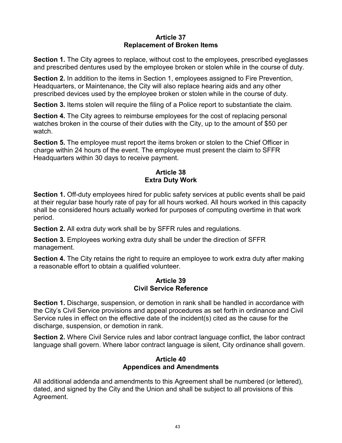#### **Article 37 Replacement of Broken Items**

**Section 1.** The City agrees to replace, without cost to the employees, prescribed eyeglasses and prescribed dentures used by the employee broken or stolen while in the course of duty.

**Section 2.** In addition to the items in Section 1, employees assigned to Fire Prevention, Headquarters, or Maintenance, the City will also replace hearing aids and any other prescribed devices used by the employee broken or stolen while in the course of duty.

**Section 3.** Items stolen will require the filing of a Police report to substantiate the claim.

**Section 4.** The City agrees to reimburse employees for the cost of replacing personal watches broken in the course of their duties with the City, up to the amount of \$50 per watch.

**Section 5.** The employee must report the items broken or stolen to the Chief Officer in charge within 24 hours of the event. The employee must present the claim to SFFR Headquarters within 30 days to receive payment.

#### **Article 38 Extra Duty Work**

**Section 1.** Off-duty employees hired for public safety services at public events shall be paid at their regular base hourly rate of pay for all hours worked. All hours worked in this capacity shall be considered hours actually worked for purposes of computing overtime in that work period.

**Section 2.** All extra duty work shall be by SFFR rules and regulations.

**Section 3.** Employees working extra duty shall be under the direction of SFFR management.

**Section 4.** The City retains the right to require an employee to work extra duty after making a reasonable effort to obtain a qualified volunteer.

#### **Article 39 Civil Service Reference**

**Section 1.** Discharge, suspension, or demotion in rank shall be handled in accordance with the City's Civil Service provisions and appeal procedures as set forth in ordinance and Civil Service rules in effect on the effective date of the incident(s) cited as the cause for the discharge, suspension, or demotion in rank.

**Section 2.** Where Civil Service rules and labor contract language conflict, the labor contract language shall govern. Where labor contract language is silent, City ordinance shall govern.

#### **Article 40 Appendices and Amendments**

All additional addenda and amendments to this Agreement shall be numbered (or lettered), dated, and signed by the City and the Union and shall be subject to all provisions of this Agreement.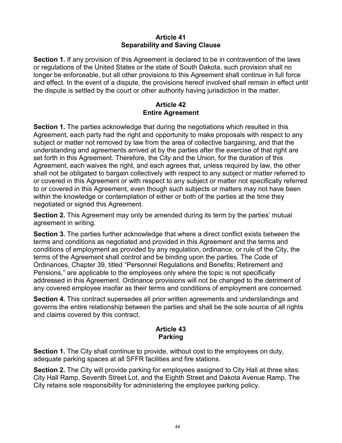#### **Article 41 Separability and Saving Clause**

**Section 1.** If any provision of this Agreement is declared to be in contravention of the laws or regulations of the United States or the state of South Dakota, such provision shall no longer be enforceable, but all other provisions to this Agreement shall continue in full force and effect. In the event of a dispute, the provisions hereof involved shall remain in effect until the dispute is settled by the court or other authority having jurisdiction in the matter.

#### **Article 42 Entire Agreement**

**Section 1.** The parties acknowledge that during the negotiations which resulted in this Agreement, each party had the right and opportunity to make proposals with respect to any subject or matter not removed by law from the area of collective bargaining, and that the understanding and agreements arrived at by the parties after the exercise of that right are set forth in this Agreement. Therefore, the City and the Union, for the duration of this Agreement, each waives the right, and each agrees that, unless required by law, the other shall not be obligated to bargain collectively with respect to any subject or matter referred to or covered in this Agreement or with respect to any subject or matter not specifically referred to or covered in this Agreement, even though such subjects or matters may not have been within the knowledge or contemplation of either or both of the parties at the time they negotiated or signed this Agreement.

**Section 2.** This Agreement may only be amended during its term by the parties' mutual agreement in writing.

**Section 3.** The parties further acknowledge that where a direct conflict exists between the terms and conditions as negotiated and provided in this Agreement and the terms and conditions of employment as provided by any regulation, ordinance, or rule of the City, the terms of the Agreement shall control and be binding upon the parties. The Code of Ordinances, Chapter 39, titled "Personnel Regulations and Benefits; Retirement and Pensions," are applicable to the employees only where the topic is not specifically addressed in this Agreement. Ordinance provisions will not be changed to the detriment of any covered employee insofar as their terms and conditions of employment are concerned.

**Section 4.** This contract supersedes all prior written agreements and understandings and governs the entire relationship between the parties and shall be the sole source of all rights and claims covered by this contract.

#### **Article 43 Parking**

**Section 1.** The City shall continue to provide, without cost to the employees on duty, adequate parking spaces at all SFFR facilities and fire stations.

**Section 2.** The City will provide parking for employees assigned to City Hall at three sites: City Hall Ramp, Seventh Street Lot, and the Eighth Street and Dakota Avenue Ramp. The City retains sole responsibility for administering the employee parking policy.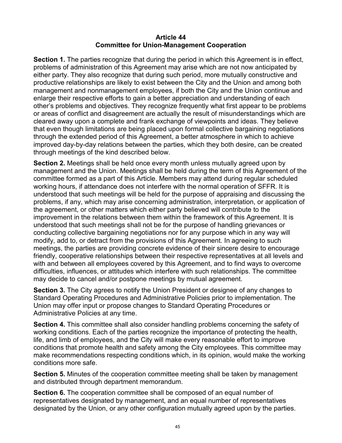#### **Article 44 Committee for Union-Management Cooperation**

**Section 1.** The parties recognize that during the period in which this Agreement is in effect, problems of administration of this Agreement may arise which are not now anticipated by either party. They also recognize that during such period, more mutually constructive and productive relationships are likely to exist between the City and the Union and among both management and nonmanagement employees, if both the City and the Union continue and enlarge their respective efforts to gain a better appreciation and understanding of each other's problems and objectives. They recognize frequently what first appear to be problems or areas of conflict and disagreement are actually the result of misunderstandings which are cleared away upon a complete and frank exchange of viewpoints and ideas. They believe that even though limitations are being placed upon formal collective bargaining negotiations through the extended period of this Agreement, a better atmosphere in which to achieve improved day-by-day relations between the parties, which they both desire, can be created through meetings of the kind described below.

**Section 2.** Meetings shall be held once every month unless mutually agreed upon by management and the Union. Meetings shall be held during the term of this Agreement of the committee formed as a part of this Article. Members may attend during regular scheduled working hours, if attendance does not interfere with the normal operation of SFFR. It is understood that such meetings will be held for the purpose of appraising and discussing the problems, if any, which may arise concerning administration, interpretation, or application of the agreement, or other matters which either party believed will contribute to the improvement in the relations between them within the framework of this Agreement. It is understood that such meetings shall not be for the purpose of handling grievances or conducting collective bargaining negotiations nor for any purpose which in any way will modify, add to, or detract from the provisions of this Agreement. In agreeing to such meetings, the parties are providing concrete evidence of their sincere desire to encourage friendly, cooperative relationships between their respective representatives at all levels and with and between all employees covered by this Agreement, and to find ways to overcome difficulties, influences, or attitudes which interfere with such relationships. The committee may decide to cancel and/or postpone meetings by mutual agreement.

**Section 3.** The City agrees to notify the Union President or designee of any changes to Standard Operating Procedures and Administrative Policies prior to implementation. The Union may offer input or propose changes to Standard Operating Procedures or Administrative Policies at any time.

**Section 4.** This committee shall also consider handling problems concerning the safety of working conditions. Each of the parties recognize the importance of protecting the health, life, and limb of employees, and the City will make every reasonable effort to improve conditions that promote health and safety among the City employees. This committee may make recommendations respecting conditions which, in its opinion, would make the working conditions more safe.

**Section 5.** Minutes of the cooperation committee meeting shall be taken by management and distributed through department memorandum.

**Section 6.** The cooperation committee shall be composed of an equal number of representatives designated by management, and an equal number of representatives designated by the Union, or any other configuration mutually agreed upon by the parties.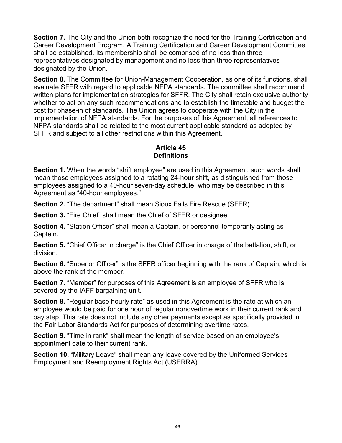**Section 7.** The City and the Union both recognize the need for the Training Certification and Career Development Program. A Training Certification and Career Development Committee shall be established. Its membership shall be comprised of no less than three representatives designated by management and no less than three representatives designated by the Union.

**Section 8.** The Committee for Union-Management Cooperation, as one of its functions, shall evaluate SFFR with regard to applicable NFPA standards. The committee shall recommend written plans for implementation strategies for SFFR. The City shall retain exclusive authority whether to act on any such recommendations and to establish the timetable and budget the cost for phase-in of standards. The Union agrees to cooperate with the City in the implementation of NFPA standards. For the purposes of this Agreement, all references to NFPA standards shall be related to the most current applicable standard as adopted by SFFR and subject to all other restrictions within this Agreement.

#### **Article 45 Definitions**

**Section 1.** When the words "shift employee" are used in this Agreement, such words shall mean those employees assigned to a rotating 24-hour shift, as distinguished from those employees assigned to a 40-hour seven-day schedule, who may be described in this Agreement as "40-hour employees."

**Section 2.** "The department" shall mean Sioux Falls Fire Rescue (SFFR).

**Section 3.** "Fire Chief" shall mean the Chief of SFFR or designee.

**Section 4.** "Station Officer" shall mean a Captain, or personnel temporarily acting as Captain.

**Section 5.** "Chief Officer in charge" is the Chief Officer in charge of the battalion, shift, or division.

**Section 6.** "Superior Officer" is the SFFR officer beginning with the rank of Captain, which is above the rank of the member.

**Section 7.** "Member" for purposes of this Agreement is an employee of SFFR who is covered by the IAFF bargaining unit.

**Section 8.** "Regular base hourly rate" as used in this Agreement is the rate at which an employee would be paid for one hour of regular nonovertime work in their current rank and pay step. This rate does not include any other payments except as specifically provided in the Fair Labor Standards Act for purposes of determining overtime rates.

**Section 9.** "Time in rank" shall mean the length of service based on an employee's appointment date to their current rank.

**Section 10.** "Military Leave" shall mean any leave covered by the Uniformed Services Employment and Reemployment Rights Act (USERRA).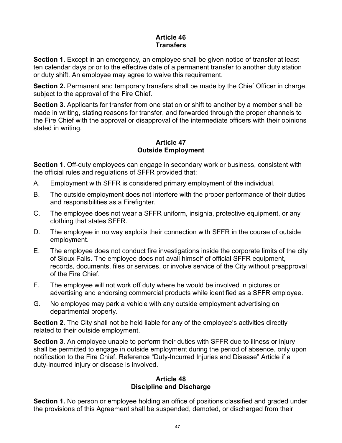#### **Article 46 Transfers**

**Section 1.** Except in an emergency, an employee shall be given notice of transfer at least ten calendar days prior to the effective date of a permanent transfer to another duty station or duty shift. An employee may agree to waive this requirement.

**Section 2.** Permanent and temporary transfers shall be made by the Chief Officer in charge, subject to the approval of the Fire Chief.

**Section 3.** Applicants for transfer from one station or shift to another by a member shall be made in writing, stating reasons for transfer, and forwarded through the proper channels to the Fire Chief with the approval or disapproval of the intermediate officers with their opinions stated in writing.

## **Article 47 Outside Employment**

**Section 1**. Off-duty employees can engage in secondary work or business, consistent with the official rules and regulations of SFFR provided that:

- A. Employment with SFFR is considered primary employment of the individual.
- B. The outside employment does not interfere with the proper performance of their duties and responsibilities as a Firefighter.
- C. The employee does not wear a SFFR uniform, insignia, protective equipment, or any clothing that states SFFR.
- D. The employee in no way exploits their connection with SFFR in the course of outside employment.
- E. The employee does not conduct fire investigations inside the corporate limits of the city of Sioux Falls. The employee does not avail himself of official SFFR equipment, records, documents, files or services, or involve service of the City without preapproval of the Fire Chief.
- F. The employee will not work off duty where he would be involved in pictures or advertising and endorsing commercial products while identified as a SFFR employee.
- G. No employee may park a vehicle with any outside employment advertising on departmental property.

**Section 2**. The City shall not be held liable for any of the employee's activities directly related to their outside employment.

**Section 3**. An employee unable to perform their duties with SFFR due to illness or injury shall be permitted to engage in outside employment during the period of absence, only upon notification to the Fire Chief. Reference "Duty-Incurred Injuries and Disease" Article if a duty-incurred injury or disease is involved.

#### **Article 48 Discipline and Discharge**

**Section 1.** No person or employee holding an office of positions classified and graded under the provisions of this Agreement shall be suspended, demoted, or discharged from their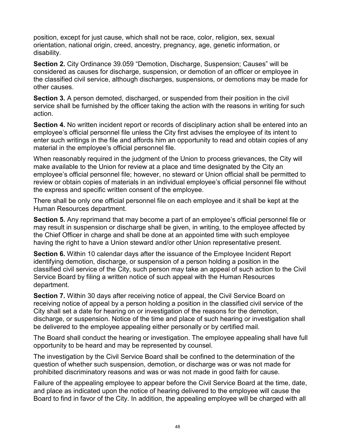position, except for just cause, which shall not be race, color, religion, sex, sexual orientation, national origin, creed, ancestry, pregnancy, age, genetic information, or disability.

**Section 2.** City Ordinance 39.059 "Demotion, Discharge, Suspension; Causes" will be considered as causes for discharge, suspension, or demotion of an officer or employee in the classified civil service, although discharges, suspensions, or demotions may be made for other causes.

**Section 3.** A person demoted, discharged, or suspended from their position in the civil service shall be furnished by the officer taking the action with the reasons in writing for such action.

**Section 4.** No written incident report or records of disciplinary action shall be entered into an employee's official personnel file unless the City first advises the employee of its intent to enter such writings in the file and affords him an opportunity to read and obtain copies of any material in the employee's official personnel file.

When reasonably required in the judgment of the Union to process grievances, the City will make available to the Union for review at a place and time designated by the City an employee's official personnel file; however, no steward or Union official shall be permitted to review or obtain copies of materials in an individual employee's official personnel file without the express and specific written consent of the employee.

There shall be only one official personnel file on each employee and it shall be kept at the Human Resources department.

**Section 5.** Any reprimand that may become a part of an employee's official personnel file or may result in suspension or discharge shall be given, in writing, to the employee affected by the Chief Officer in charge and shall be done at an appointed time with such employee having the right to have a Union steward and/or other Union representative present.

**Section 6.** Within 10 calendar days after the issuance of the Employee Incident Report identifying demotion, discharge, or suspension of a person holding a position in the classified civil service of the City, such person may take an appeal of such action to the Civil Service Board by filing a written notice of such appeal with the Human Resources department.

**Section 7.** Within 30 days after receiving notice of appeal, the Civil Service Board on receiving notice of appeal by a person holding a position in the classified civil service of the City shall set a date for hearing on or investigation of the reasons for the demotion, discharge, or suspension. Notice of the time and place of such hearing or investigation shall be delivered to the employee appealing either personally or by certified mail.

The Board shall conduct the hearing or investigation. The employee appealing shall have full opportunity to be heard and may be represented by counsel.

The investigation by the Civil Service Board shall be confined to the determination of the question of whether such suspension, demotion, or discharge was or was not made for prohibited discriminatory reasons and was or was not made in good faith for cause.

Failure of the appealing employee to appear before the Civil Service Board at the time, date, and place as indicated upon the notice of hearing delivered to the employee will cause the Board to find in favor of the City. In addition, the appealing employee will be charged with all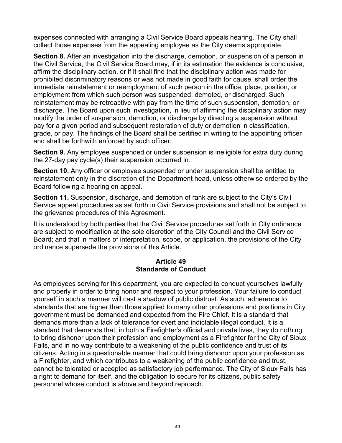expenses connected with arranging a Civil Service Board appeals hearing. The City shall collect those expenses from the appealing employee as the City deems appropriate.

**Section 8.** After an investigation into the discharge, demotion, or suspension of a person in the Civil Service, the Civil Service Board may, if in its estimation the evidence is conclusive, affirm the disciplinary action, or if it shall find that the disciplinary action was made for prohibited discriminatory reasons or was not made in good faith for cause, shall order the immediate reinstatement or reemployment of such person in the office, place, position, or employment from which such person was suspended, demoted, or discharged. Such reinstatement may be retroactive with pay from the time of such suspension, demotion, or discharge. The Board upon such investigation, in lieu of affirming the disciplinary action may modify the order of suspension, demotion, or discharge by directing a suspension without pay for a given period and subsequent restoration of duty or demotion in classification, grade, or pay. The findings of the Board shall be certified in writing to the appointing officer and shall be forthwith enforced by such officer.

**Section 9.** Any employee suspended or under suspension is ineligible for extra duty during the 27-day pay cycle(s) their suspension occurred in.

**Section 10.** Any officer or employee suspended or under suspension shall be entitled to reinstatement only in the discretion of the Department head, unless otherwise ordered by the Board following a hearing on appeal.

**Section 11.** Suspension, discharge, and demotion of rank are subject to the City's Civil Service appeal procedures as set forth in Civil Service provisions and shall not be subject to the grievance procedures of this Agreement.

It is understood by both parties that the Civil Service procedures set forth in City ordinance are subject to modification at the sole discretion of the City Council and the Civil Service Board; and that in matters of interpretation, scope, or application, the provisions of the City ordinance supersede the provisions of this Article.

#### **Article 49 Standards of Conduct**

As employees serving for this department, you are expected to conduct yourselves lawfully and properly in order to bring honor and respect to your profession. Your failure to conduct yourself in such a manner will cast a shadow of public distrust. As such, adherence to standards that are higher than those applied to many other professions and positions in City government must be demanded and expected from the Fire Chief. It is a standard that demands more than a lack of tolerance for overt and indictable illegal conduct. It is a standard that demands that, in both a Firefighter's official and private lives, they do nothing to bring dishonor upon their profession and employment as a Firefighter for the City of Sioux Falls, and in no way contribute to a weakening of the public confidence and trust of its citizens. Acting in a questionable manner that could bring dishonor upon your profession as a Firefighter, and which contributes to a weakening of the public confidence and trust, cannot be tolerated or accepted as satisfactory job performance. The City of Sioux Falls has a right to demand for itself, and the obligation to secure for its citizens, public safety personnel whose conduct is above and beyond reproach.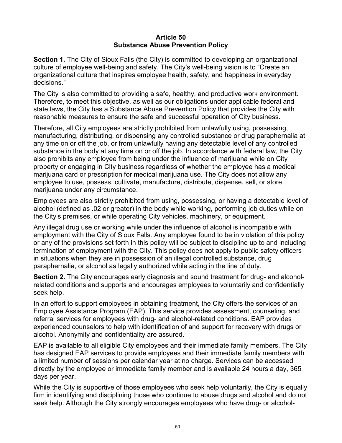#### **Article 50 Substance Abuse Prevention Policy**

**Section 1.** The City of Sioux Falls (the City) is committed to developing an organizational culture of employee well-being and safety. The City's well-being vision is to "Create an organizational culture that inspires employee health, safety, and happiness in everyday decisions."

The City is also committed to providing a safe, healthy, and productive work environment. Therefore, to meet this objective, as well as our obligations under applicable federal and state laws, the City has a Substance Abuse Prevention Policy that provides the City with reasonable measures to ensure the safe and successful operation of City business.

Therefore, all City employees are strictly prohibited from unlawfully using, possessing, manufacturing, distributing, or dispensing any controlled substance or drug paraphernalia at any time on or off the job, or from unlawfully having any detectable level of any controlled substance in the body at any time on or off the job. In accordance with federal law, the City also prohibits any employee from being under the influence of marijuana while on City property or engaging in City business regardless of whether the employee has a medical marijuana card or prescription for medical marijuana use. The City does not allow any employee to use, possess, cultivate, manufacture, distribute, dispense, sell, or store marijuana under any circumstance.

Employees are also strictly prohibited from using, possessing, or having a detectable level of alcohol (defined as .02 or greater) in the body while working, performing job duties while on the City's premises, or while operating City vehicles, machinery, or equipment.

Any illegal drug use or working while under the influence of alcohol is incompatible with employment with the City of Sioux Falls. Any employee found to be in violation of this policy or any of the provisions set forth in this policy will be subject to discipline up to and including termination of employment with the City. This policy does not apply to public safety officers in situations when they are in possession of an illegal controlled substance, drug paraphernalia, or alcohol as legally authorized while acting in the line of duty.

**Section 2.** The City encourages early diagnosis and sound treatment for drug- and alcoholrelated conditions and supports and encourages employees to voluntarily and confidentially seek help.

In an effort to support employees in obtaining treatment, the City offers the services of an Employee Assistance Program (EAP). This service provides assessment, counseling, and referral services for employees with drug- and alcohol-related conditions. EAP provides experienced counselors to help with identification of and support for recovery with drugs or alcohol. Anonymity and confidentiality are assured.

EAP is available to all eligible City employees and their immediate family members. The City has designed EAP services to provide employees and their immediate family members with a limited number of sessions per calendar year at no charge. Services can be accessed directly by the employee or immediate family member and is available 24 hours a day, 365 days per year.

While the City is supportive of those employees who seek help voluntarily, the City is equally firm in identifying and disciplining those who continue to abuse drugs and alcohol and do not seek help. Although the City strongly encourages employees who have drug- or alcohol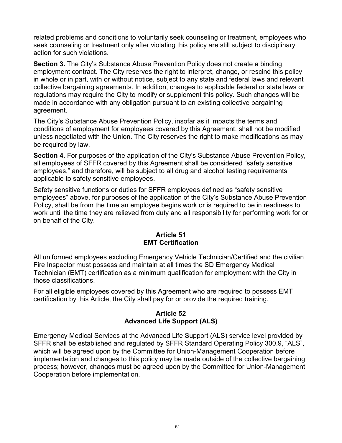related problems and conditions to voluntarily seek counseling or treatment, employees who seek counseling or treatment only after violating this policy are still subject to disciplinary action for such violations.

**Section 3.** The City's Substance Abuse Prevention Policy does not create a binding employment contract. The City reserves the right to interpret, change, or rescind this policy in whole or in part, with or without notice, subject to any state and federal laws and relevant collective bargaining agreements. In addition, changes to applicable federal or state laws or regulations may require the City to modify or supplement this policy. Such changes will be made in accordance with any obligation pursuant to an existing collective bargaining agreement.

The City's Substance Abuse Prevention Policy, insofar as it impacts the terms and conditions of employment for employees covered by this Agreement, shall not be modified unless negotiated with the Union. The City reserves the right to make modifications as may be required by law.

**Section 4.** For purposes of the application of the City's Substance Abuse Prevention Policy, all employees of SFFR covered by this Agreement shall be considered "safety sensitive employees," and therefore, will be subject to all drug and alcohol testing requirements applicable to safety sensitive employees.

Safety sensitive functions or duties for SFFR employees defined as "safety sensitive employees" above, for purposes of the application of the City's Substance Abuse Prevention Policy, shall be from the time an employee begins work or is required to be in readiness to work until the time they are relieved from duty and all responsibility for performing work for or on behalf of the City.

#### **Article 51 EMT Certification**

All uniformed employees excluding Emergency Vehicle Technician/Certified and the civilian Fire Inspector must possess and maintain at all times the SD Emergency Medical Technician (EMT) certification as a minimum qualification for employment with the City in those classifications.

For all eligible employees covered by this Agreement who are required to possess EMT certification by this Article, the City shall pay for or provide the required training.

## **Article 52 Advanced Life Support (ALS)**

Emergency Medical Services at the Advanced Life Support (ALS) service level provided by SFFR shall be established and regulated by SFFR Standard Operating Policy 300.9, "ALS", which will be agreed upon by the Committee for Union-Management Cooperation before implementation and changes to this policy may be made outside of the collective bargaining process; however, changes must be agreed upon by the Committee for Union-Management Cooperation before implementation.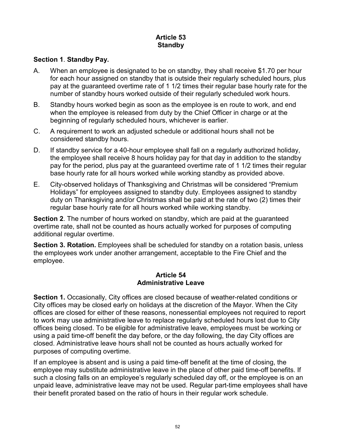## **Article 53 Standby**

#### **Section 1**. **Standby Pay.**

- A. When an employee is designated to be on standby, they shall receive \$1.70 per hour for each hour assigned on standby that is outside their regularly scheduled hours, plus pay at the guaranteed overtime rate of 1 1/2 times their regular base hourly rate for the number of standby hours worked outside of their regularly scheduled work hours.
- B. Standby hours worked begin as soon as the employee is en route to work, and end when the employee is released from duty by the Chief Officer in charge or at the beginning of regularly scheduled hours, whichever is earlier.
- C. A requirement to work an adjusted schedule or additional hours shall not be considered standby hours.
- D. If standby service for a 40-hour employee shall fall on a regularly authorized holiday, the employee shall receive 8 hours holiday pay for that day in addition to the standby pay for the period, plus pay at the guaranteed overtime rate of 1 1/2 times their regular base hourly rate for all hours worked while working standby as provided above.
- E. City-observed holidays of Thanksgiving and Christmas will be considered "Premium Holidays" for employees assigned to standby duty. Employees assigned to standby duty on Thanksgiving and/or Christmas shall be paid at the rate of two (2) times their regular base hourly rate for all hours worked while working standby.

**Section 2**. The number of hours worked on standby, which are paid at the guaranteed overtime rate, shall not be counted as hours actually worked for purposes of computing additional regular overtime.

**Section 3. Rotation.** Employees shall be scheduled for standby on a rotation basis, unless the employees work under another arrangement, acceptable to the Fire Chief and the employee.

#### **Article 54 Administrative Leave**

**Section 1.** Occasionally, City offices are closed because of weather-related conditions or City offices may be closed early on holidays at the discretion of the Mayor. When the City offices are closed for either of these reasons, nonessential employees not required to report to work may use administrative leave to replace regularly scheduled hours lost due to City offices being closed. To be eligible for administrative leave, employees must be working or using a paid time-off benefit the day before, or the day following, the day City offices are closed. Administrative leave hours shall not be counted as hours actually worked for purposes of computing overtime.

If an employee is absent and is using a paid time-off benefit at the time of closing, the employee may substitute administrative leave in the place of other paid time-off benefits. If such a closing falls on an employee's regularly scheduled day off, or the employee is on an unpaid leave, administrative leave may not be used. Regular part-time employees shall have their benefit prorated based on the ratio of hours in their regular work schedule.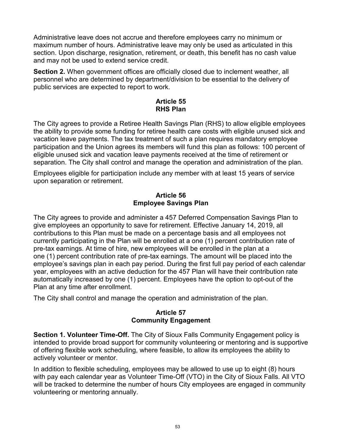Administrative leave does not accrue and therefore employees carry no minimum or maximum number of hours. Administrative leave may only be used as articulated in this section. Upon discharge, resignation, retirement, or death, this benefit has no cash value and may not be used to extend service credit.

**Section 2.** When government offices are officially closed due to inclement weather, all personnel who are determined by department/division to be essential to the delivery of public services are expected to report to work.

#### **Article 55 RHS Plan**

The City agrees to provide a Retiree Health Savings Plan (RHS) to allow eligible employees the ability to provide some funding for retiree health care costs with eligible unused sick and vacation leave payments. The tax treatment of such a plan requires mandatory employee participation and the Union agrees its members will fund this plan as follows: 100 percent of eligible unused sick and vacation leave payments received at the time of retirement or separation. The City shall control and manage the operation and administration of the plan.

Employees eligible for participation include any member with at least 15 years of service upon separation or retirement.

#### **Article 56 Employee Savings Plan**

The City agrees to provide and administer a 457 Deferred Compensation Savings Plan to give employees an opportunity to save for retirement. Effective January 14, 2019, all contributions to this Plan must be made on a percentage basis and all employees not currently participating in the Plan will be enrolled at a one (1) percent contribution rate of pre-tax earnings. At time of hire, new employees will be enrolled in the plan at a one (1) percent contribution rate of pre-tax earnings. The amount will be placed into the employee's savings plan in each pay period. During the first full pay period of each calendar year, employees with an active deduction for the 457 Plan will have their contribution rate automatically increased by one (1) percent. Employees have the option to opt-out of the Plan at any time after enrollment.

The City shall control and manage the operation and administration of the plan.

#### **Article 57 Community Engagement**

**Section 1. Volunteer Time-Off.** The City of Sioux Falls Community Engagement policy is intended to provide broad support for community volunteering or mentoring and is supportive of offering flexible work scheduling, where feasible, to allow its employees the ability to actively volunteer or mentor.

In addition to flexible scheduling, employees may be allowed to use up to eight (8) hours with pay each calendar year as Volunteer Time-Off (VTO) in the City of Sioux Falls. All VTO will be tracked to determine the number of hours City employees are engaged in community volunteering or mentoring annually.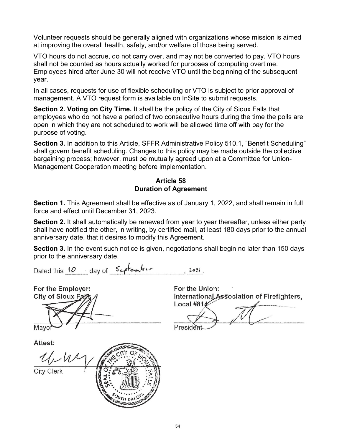Volunteer requests should be generally aligned with organizations whose mission is aimed at improving the overall health, safety, and/or welfare of those being served.

VTO hours do not accrue, do not carry over, and may not be converted to pay. VTO hours shall not be counted as hours actually worked for purposes of computing overtime. Employees hired after June 30 will not receive VTO until the beginning of the subsequent year.

In all cases, requests for use of flexible scheduling or VTO is subject to prior approval of management. A VTO request form is available on InSite to submit requests.

**Section 2. Voting on City Time.** It shall be the policy of the City of Sioux Falls that employees who do not have a period of two consecutive hours during the time the polls are open in which they are not scheduled to work will be allowed time off with pay for the purpose of voting.

**Section 3.** In addition to this Article, SFFR Administrative Policy 510.1, "Benefit Scheduling" shall govern benefit scheduling. Changes to this policy may be made outside the collective bargaining process; however, must be mutually agreed upon at a Committee for Union-Management Cooperation meeting before implementation.

#### **Article 58 Duration of Agreement**

**Section 1.** This Agreement shall be effective as of January 1, 2022, and shall remain in full force and effect until December 31, 2023.

**Section 2.** It shall automatically be renewed from year to year thereafter, unless either party shall have notified the other, in writing, by certified mail, at least 180 days prior to the annual anniversary date, that it desires to modify this Agreement.

**Section 3.** In the event such notice is given, negotiations shall begin no later than 150 days prior to the anniversary date.

Dated this 10 day of September  $1021$ 

For the Employer: **City of Sioux Falk** Mayo Attest:

UNW **City Clerk AUTHOR** 

For the Union: International Association of Firefighters, Local #81 $4$ 

Presider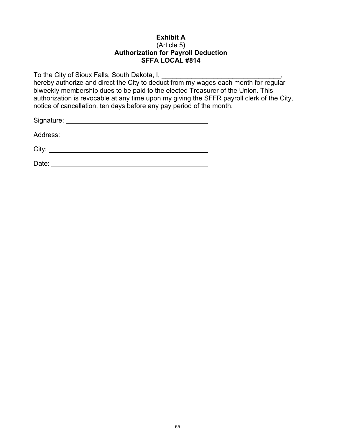#### **Exhibit A** (Article 5) **Authorization for Payroll Deduction SFFA LOCAL #814**

To the City of Sioux Falls, South Dakota, I, Letter Lines Lines Lines Lines Lines hereby authorize and direct the City to deduct from my wages each month for regular biweekly membership dues to be paid to the elected Treasurer of the Union. This authorization is revocable at any time upon my giving the SFFR payroll clerk of the City, notice of cancellation, ten days before any pay period of the month.

Signature:

Address:

City:

Date: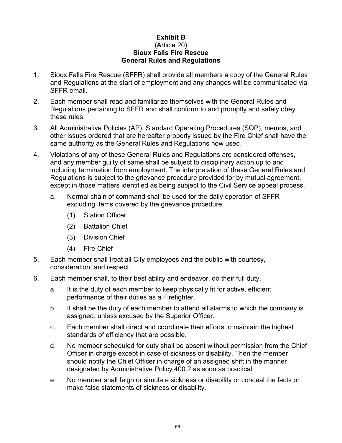#### **Exhibit B** (Article 20) **Sioux Falls Fire Rescue General Rules and Regulations**

- 1. Sioux Falls Fire Rescue (SFFR) shall provide all members a copy of the General Rules and Regulations at the start of employment and any changes will be communicated via SFFR email.
- 2. Each member shall read and familiarize themselves with the General Rules and Regulations pertaining to SFFR and shall conform to and promptly and safely obey these rules.
- 3. All Administrative Policies (AP), Standard Operating Procedures (SOP), memos, and other issues ordered that are hereafter properly issued by the Fire Chief shall have the same authority as the General Rules and Regulations now used.
- 4. Violations of any of these General Rules and Regulations are considered offenses, and any member guilty of same shall be subject to disciplinary action up to and including termination from employment. The interpretation of these General Rules and Regulations is subject to the grievance procedure provided for by mutual agreement, except in those matters identified as being subject to the Civil Service appeal process.
	- a. Normal chain of command shall be used for the daily operation of SFFR excluding items covered by the grievance procedure:
		- (1) Station Officer
		- (2) Battalion Chief
		- (3) Division Chief
		- (4) Fire Chief
- 5. Each member shall treat all City employees and the public with courtesy, consideration, and respect.
- 6. Each member shall, to their best ability and endeavor, do their full duty.
	- a. It is the duty of each member to keep physically fit for active, efficient performance of their duties as a Firefighter.
	- b. It shall be the duty of each member to attend all alarms to which the company is assigned, unless excused by the Superior Officer.
	- c. Each member shall direct and coordinate their efforts to maintain the highest standards of efficiency that are possible.
	- d. No member scheduled for duty shall be absent without permission from the Chief Officer in charge except in case of sickness or disability. Then the member should notify the Chief Officer in charge of an assigned shift in the manner designated by Administrative Policy 400.2 as soon as practical.
	- e. No member shall feign or simulate sickness or disability or conceal the facts or make false statements of sickness or disability.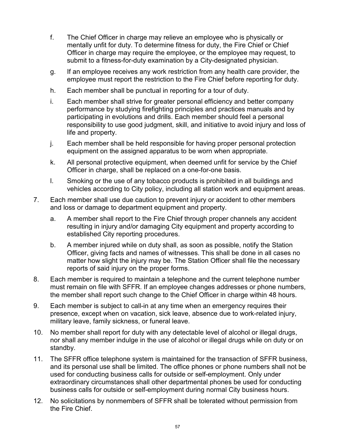- f. The Chief Officer in charge may relieve an employee who is physically or mentally unfit for duty. To determine fitness for duty, the Fire Chief or Chief Officer in charge may require the employee, or the employee may request, to submit to a fitness-for-duty examination by a City-designated physician.
- g. If an employee receives any work restriction from any health care provider, the employee must report the restriction to the Fire Chief before reporting for duty.
- h. Each member shall be punctual in reporting for a tour of duty.
- i. Each member shall strive for greater personal efficiency and better company performance by studying firefighting principles and practices manuals and by participating in evolutions and drills. Each member should feel a personal responsibility to use good judgment, skill, and initiative to avoid injury and loss of life and property.
- j. Each member shall be held responsible for having proper personal protection equipment on the assigned apparatus to be worn when appropriate.
- k. All personal protective equipment, when deemed unfit for service by the Chief Officer in charge, shall be replaced on a one-for-one basis.
- l. Smoking or the use of any tobacco products is prohibited in all buildings and vehicles according to City policy, including all station work and equipment areas.
- 7. Each member shall use due caution to prevent injury or accident to other members and loss or damage to department equipment and property.
	- a. A member shall report to the Fire Chief through proper channels any accident resulting in injury and/or damaging City equipment and property according to established City reporting procedures.
	- b. A member injured while on duty shall, as soon as possible, notify the Station Officer, giving facts and names of witnesses. This shall be done in all cases no matter how slight the injury may be. The Station Officer shall file the necessary reports of said injury on the proper forms.
- 8. Each member is required to maintain a telephone and the current telephone number must remain on file with SFFR. If an employee changes addresses or phone numbers, the member shall report such change to the Chief Officer in charge within 48 hours.
- 9. Each member is subject to call-in at any time when an emergency requires their presence, except when on vacation, sick leave, absence due to work-related injury, military leave, family sickness, or funeral leave.
- 10. No member shall report for duty with any detectable level of alcohol or illegal drugs, nor shall any member indulge in the use of alcohol or illegal drugs while on duty or on standby.
- 11. The SFFR office telephone system is maintained for the transaction of SFFR business, and its personal use shall be limited. The office phones or phone numbers shall not be used for conducting business calls for outside or self-employment. Only under extraordinary circumstances shall other departmental phones be used for conducting business calls for outside or self-employment during normal City business hours.
- 12. No solicitations by nonmembers of SFFR shall be tolerated without permission from the Fire Chief.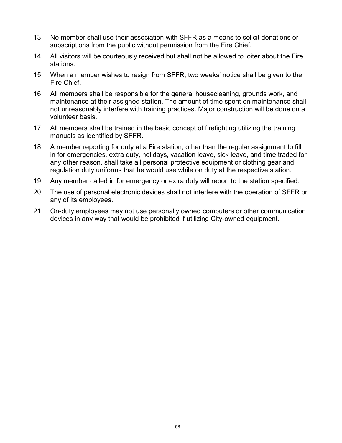- 13. No member shall use their association with SFFR as a means to solicit donations or subscriptions from the public without permission from the Fire Chief.
- 14. All visitors will be courteously received but shall not be allowed to loiter about the Fire stations.
- 15. When a member wishes to resign from SFFR, two weeks' notice shall be given to the Fire Chief.
- 16. All members shall be responsible for the general housecleaning, grounds work, and maintenance at their assigned station. The amount of time spent on maintenance shall not unreasonably interfere with training practices. Major construction will be done on a volunteer basis.
- 17. All members shall be trained in the basic concept of firefighting utilizing the training manuals as identified by SFFR.
- 18. A member reporting for duty at a Fire station, other than the regular assignment to fill in for emergencies, extra duty, holidays, vacation leave, sick leave, and time traded for any other reason, shall take all personal protective equipment or clothing gear and regulation duty uniforms that he would use while on duty at the respective station.
- 19. Any member called in for emergency or extra duty will report to the station specified.
- 20. The use of personal electronic devices shall not interfere with the operation of SFFR or any of its employees.
- 21. On-duty employees may not use personally owned computers or other communication devices in any way that would be prohibited if utilizing City-owned equipment.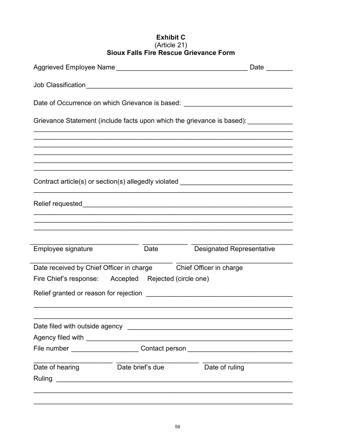# **Exhibit C** Sioux Falls Fire Rescue Grievance Form

|                    |                                                                  | Date <u>_____</u>                                                                 |
|--------------------|------------------------------------------------------------------|-----------------------------------------------------------------------------------|
|                    |                                                                  |                                                                                   |
|                    |                                                                  | Date of Occurrence on which Grievance is based: ________________________________  |
|                    |                                                                  | Grievance Statement (include facts upon which the grievance is based): __________ |
|                    |                                                                  |                                                                                   |
|                    |                                                                  | ,我们也不能在这里的人,我们也不能在这里的人,我们也不能在这里的人,我们也不能在这里的人,我们也不能在这里的人,我们也不能在这里的人,我们也不能在这里的人,我们也 |
|                    |                                                                  |                                                                                   |
|                    |                                                                  | Contract article(s) or section(s) allegedly violated ___________________________  |
|                    |                                                                  |                                                                                   |
|                    |                                                                  |                                                                                   |
|                    |                                                                  |                                                                                   |
| Employee signature | Date                                                             | <b>Designated Representative</b>                                                  |
|                    | Date received by Chief Officer in charge Chief Officer in charge |                                                                                   |
|                    | Fire Chief's response: Accepted Rejected (circle one)            |                                                                                   |
|                    |                                                                  |                                                                                   |
|                    |                                                                  |                                                                                   |
|                    |                                                                  |                                                                                   |
|                    |                                                                  |                                                                                   |
|                    |                                                                  | File number ________________________Contact person _____________________________  |
|                    |                                                                  |                                                                                   |
| Date of hearing    | Date brief's due                                                 | Date of ruling                                                                    |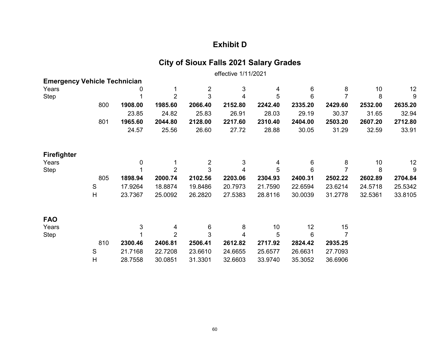## **Exhibit D**

# **City of Sioux Falls 2021 Salary Grades**

effective 1/11/2021

| <b>Emergency Vehicle Technician</b> |               |         |                |                |         |         |         |                |         |         |
|-------------------------------------|---------------|---------|----------------|----------------|---------|---------|---------|----------------|---------|---------|
| Years                               |               |         | 1              | $\overline{2}$ | 3       | 4       | 6       | 8              | 10      | 12      |
| <b>Step</b>                         |               |         | $\overline{2}$ | 3              | 4       | 5       | 6       | $\overline{7}$ | 8       | 9       |
|                                     | 800           | 1908.00 | 1985.60        | 2066.40        | 2152.80 | 2242.40 | 2335.20 | 2429.60        | 2532.00 | 2635.20 |
|                                     |               | 23.85   | 24.82          | 25.83          | 26.91   | 28.03   | 29.19   | 30.37          | 31.65   | 32.94   |
|                                     | 801           | 1965.60 | 2044.80        | 2128.00        | 2217.60 | 2310.40 | 2404.00 | 2503.20        | 2607.20 | 2712.80 |
|                                     |               | 24.57   | 25.56          | 26.60          | 27.72   | 28.88   | 30.05   | 31.29          | 32.59   | 33.91   |
| <b>Firefighter</b>                  |               |         |                |                |         |         |         |                |         |         |
| Years                               |               | 0       | 1              | 2              | 3       | 4       | 6       | 8              | 10      | 12      |
| Step                                |               |         | $\overline{2}$ | 3              | 4       | 5       | 6       | $\overline{7}$ | 8       | 9       |
|                                     | 805           | 1898.94 | 2000.74        | 2102.56        | 2203.06 | 2304.93 | 2400.31 | 2502.22        | 2602.89 | 2704.84 |
|                                     | ${\mathsf S}$ | 17.9264 | 18.8874        | 19.8486        | 20.7973 | 21.7590 | 22.6594 | 23.6214        | 24.5718 | 25.5342 |
|                                     | H             | 23.7367 | 25.0092        | 26.2820        | 27.5383 | 28.8116 | 30.0039 | 31.2778        | 32.5361 | 33.8105 |
| <b>FAO</b>                          |               |         |                |                |         |         |         |                |         |         |
| Years                               |               | 3       | 4              | 6              | 8       | 10      | 12      | 15             |         |         |
| Step                                |               |         | $\overline{2}$ | 3              | 4       | 5       | 6       |                |         |         |
|                                     | 810           | 2300.46 | 2406.81        | 2506.41        | 2612.82 | 2717.92 | 2824.42 | 2935.25        |         |         |
|                                     | $\mathsf S$   | 21.7168 | 22.7208        | 23.6610        | 24.6655 | 25.6577 | 26.6631 | 27.7093        |         |         |
|                                     | H             | 28.7558 | 30.0851        | 31.3301        | 32.6603 | 33.9740 | 35.3052 | 36.6906        |         |         |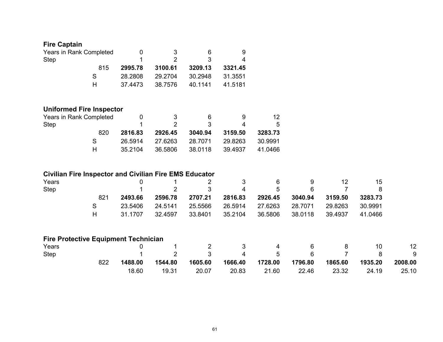| <b>Fire Captain</b>             |         |         |         |         |         |  |
|---------------------------------|---------|---------|---------|---------|---------|--|
| Years in Rank Completed         | 0       | 3       | 6       | 9       |         |  |
| Step                            |         | 2       | 3       | 4       |         |  |
| 815                             | 2995.78 | 3100.61 | 3209.13 | 3321.45 |         |  |
| S                               | 28.2808 | 29.2704 | 30.2948 | 31.3551 |         |  |
| H                               | 37.4473 | 38.7576 | 40.1141 | 41.5181 |         |  |
| <b>Uniformed Fire Inspector</b> |         |         |         |         |         |  |
| Years in Rank Completed         | 0       | 3       | 6       | 9       | 12      |  |
| <b>Step</b>                     |         | 2       | 3       | 4       | 5       |  |
| 820                             | 2816.83 | 2926.45 | 3040.94 | 3159.50 | 3283.73 |  |
| S                               | 26.5914 | 27.6263 | 28.7071 | 29.8263 | 30.9991 |  |

H 35.2104 36.5806 38.0118 39.4937 41.0466

## **Civilian Fire Inspector and Civilian Fire EMS Educator**

| Years |     |         |                | $\sim$ 2 | $\sim$ 3         | b       | 9       | 12      | 15      |  |
|-------|-----|---------|----------------|----------|------------------|---------|---------|---------|---------|--|
| Step  |     |         | $\overline{2}$ | -3       | 4                | .5      | -6      |         |         |  |
|       | 821 | 2493.66 | 2596.78        | 2707.21  | 2816.83          | 2926.45 | 3040.94 | 3159.50 | 3283.73 |  |
|       |     | 23.5406 | 24.5141        | 25.5566  | 26.5914  27.6263 |         | 28.7071 | 29.8263 | 30.9991 |  |
|       | н.  | 31.1707 | 32.4597        | 33.8401  | 35.2104          | 36.5806 | 38.0118 | 39.4937 | 41.0466 |  |

#### **Fire Protective Equipment Technician**

| Years |     |         |         | $\overline{2}$  | $\sim$ 3 | 4                | - 6     | 8       | 10           | 12 <sup>2</sup> |
|-------|-----|---------|---------|-----------------|----------|------------------|---------|---------|--------------|-----------------|
| Step  |     |         |         | 2 3 4 5 6 7 8 9 |          |                  |         |         |              |                 |
|       | 822 | 1488.00 | 1544.80 | 1605.60         |          | 1666.40  1728.00 | 1796.80 | 1865.60 | 1935.20      | 2008.00         |
|       |     | 18.60   | 19.31   | 20.07           | 20.83    | 21.60            | 22.46   | 23.32   | $\sim$ 24.19 | 25.10           |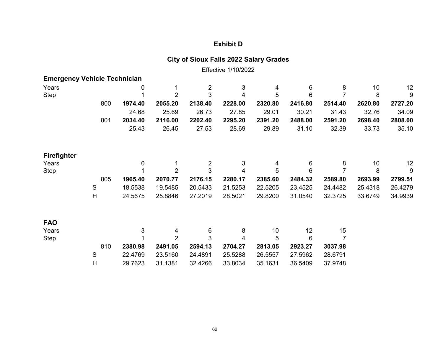## **Exhibit D**

## **City of Sioux Falls 2022 Salary Grades**

Effective 1/10/2022

| <b>Emergency Vehicle Technician</b> |               |                  |                |                |         |         |                 |         |         |         |
|-------------------------------------|---------------|------------------|----------------|----------------|---------|---------|-----------------|---------|---------|---------|
| Years                               |               | 0                |                | $\overline{2}$ | 3       | 4       | $\,6$           | 8       | 10      | 12      |
| Step                                |               |                  | $\overline{2}$ | 3              | 4       | 5       | 6               |         | 8       | 9       |
|                                     | 800           | 1974.40          | 2055.20        | 2138.40        | 2228.00 | 2320.80 | 2416.80         | 2514.40 | 2620.80 | 2727.20 |
|                                     |               | 24.68            | 25.69          | 26.73          | 27.85   | 29.01   | 30.21           | 31.43   | 32.76   | 34.09   |
|                                     | 801           | 2034.40          | 2116.00        | 2202.40        | 2295.20 | 2391.20 | 2488.00         | 2591.20 | 2698.40 | 2808.00 |
|                                     |               | 25.43            | 26.45          | 27.53          | 28.69   | 29.89   | 31.10           | 32.39   | 33.73   | 35.10   |
| <b>Firefighter</b>                  |               |                  |                |                |         |         |                 |         |         |         |
| Years                               |               | $\boldsymbol{0}$ |                | $\overline{2}$ | 3       | 4       | 6               | 8       | 10      | 12      |
| <b>Step</b>                         |               |                  | $\overline{2}$ | 3              | 4       | 5       | $6\phantom{1}6$ |         | 8       | 9       |
|                                     | 805           | 1965.40          | 2070.77        | 2176.15        | 2280.17 | 2385.60 | 2484.32         | 2589.80 | 2693.99 | 2799.51 |
|                                     | ${\mathsf S}$ | 18.5538          | 19.5485        | 20.5433        | 21.5253 | 22.5205 | 23.4525         | 24.4482 | 25.4318 | 26.4279 |
|                                     | H             | 24.5675          | 25.8846        | 27.2019        | 28.5021 | 29.8200 | 31.0540         | 32.3725 | 33.6749 | 34.9939 |
| <b>FAO</b>                          |               |                  |                |                |         |         |                 |         |         |         |
| Years                               |               | 3                | 4              | 6              | 8       | 10      | 12              | 15      |         |         |
| Step                                |               |                  | $\overline{2}$ | 3              | 4       | 5       | 6               |         |         |         |
|                                     | 810           | 2380.98          | 2491.05        | 2594.13        | 2704.27 | 2813.05 | 2923.27         | 3037.98 |         |         |
|                                     | ${\mathsf S}$ | 22.4769          | 23.5160        | 24.4891        | 25.5288 | 26.5557 | 27.5962         | 28.6791 |         |         |
|                                     | $\mathsf{H}$  | 29.7623          | 31.1381        | 32.4266        | 33.8034 | 35.1631 | 36.5409         | 37.9748 |         |         |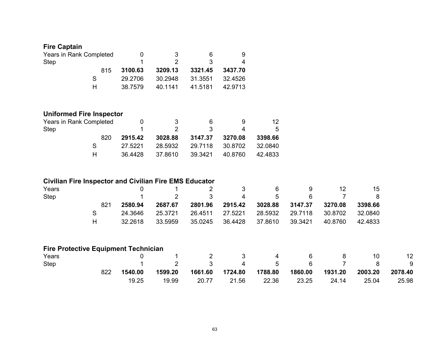## **Fire Captain**

| Years in Rank Completed |         | 3       | 6       | 9       |
|-------------------------|---------|---------|---------|---------|
| Step                    |         | 2.      | -3      |         |
| 815                     | 3100.63 | 3209.13 | 3321.45 | 3437.70 |
| S.                      | 29.2706 | 30.2948 | 31.3551 | 32.4526 |
| н                       | 38.7579 | 40.1141 | 41.5181 | 42.9713 |

## **Uniformed Fire Inspector**

| Years in Rank Completed |         | - 3     | რ.              | 9 | 12.         |
|-------------------------|---------|---------|-----------------|---|-------------|
| Step                    |         |         | بي.             |   | $5^{\circ}$ |
| 820.                    | 2915.42 | 3028.88 | 3147.37 3270.08 |   | 3398.66     |
|                         | 27.5221 | 28.5932 | 29.7118 30.8702 |   | 32.0840     |
|                         | 36.4428 | 37.8610 | 39.3421 40.8760 |   | 42.4833     |

## **Civilian Fire Inspector and Civilian Fire EMS Educator**

| Years       |     |         |         |                  | 6                       |    | 12      | 15      |
|-------------|-----|---------|---------|------------------|-------------------------|----|---------|---------|
| <b>Step</b> |     |         |         | ્વ પ             | -5                      | 6. |         | 8       |
|             | 821 | 2580.94 | 2687.67 | 2801.96  2915.42 | 3028.88 3147.37 3270.08 |    |         | 3398.66 |
|             |     | 24.3646 | 25.3721 | 26.4511 27.5221  | 28.5932 29.7118 30.8702 |    |         | 32.0840 |
|             | н   | 32.2618 | 33.5959 | 35.0245 36.4428  | 37.8610  39.3421        |    | 40.8760 | 42.4833 |

## **Fire Protective Equipment Technician**

| Years |     |         |         |              |                |                |                 |                |         | 12      |
|-------|-----|---------|---------|--------------|----------------|----------------|-----------------|----------------|---------|---------|
| Step  |     |         |         | $\mathbf{3}$ | $\overline{4}$ | $\overline{5}$ | $6\overline{6}$ | $\overline{7}$ | - 8 -   | - 9     |
|       | 822 | 1540.00 | 1599.20 | 1661.60      | 1724.80        | 1788.80        | 1860.00         | 1931.20        | 2003.20 | 2078.40 |
|       |     | 19.25   | 19.99   | 20.77        | 21.56          | 22.36          | 23.25           | 24.14          | 25.04   | 25.98   |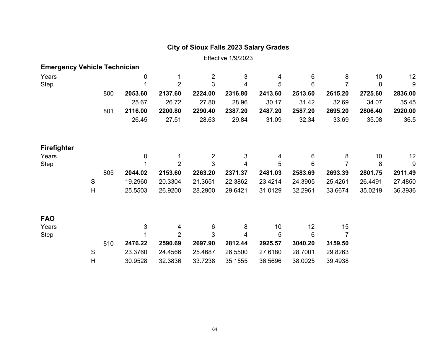## **City of Sioux Falls 2023 Salary Grades**

Effective 1/9/2023

| <b>Emergency Vehicle Technician</b> |   |     |         |                |                |         |         |         |                |         |         |
|-------------------------------------|---|-----|---------|----------------|----------------|---------|---------|---------|----------------|---------|---------|
| Years                               |   |     | 0       |                | $\overline{c}$ | 3       | 4       | 6       | 8              | 10      | 12      |
| Step                                |   |     |         | $\overline{2}$ | $\mathfrak{S}$ | 4       | 5       | 6       | $\overline{7}$ | 8       | 9       |
|                                     |   | 800 | 2053.60 | 2137.60        | 2224.00        | 2316.80 | 2413.60 | 2513.60 | 2615.20        | 2725.60 | 2836.00 |
|                                     |   |     | 25.67   | 26.72          | 27.80          | 28.96   | 30.17   | 31.42   | 32.69          | 34.07   | 35.45   |
|                                     |   | 801 | 2116.00 | 2200.80        | 2290.40        | 2387.20 | 2487.20 | 2587.20 | 2695.20        | 2806.40 | 2920.00 |
|                                     |   |     | 26.45   | 27.51          | 28.63          | 29.84   | 31.09   | 32.34   | 33.69          | 35.08   | 36.5    |
| Firefighter                         |   |     |         |                |                |         |         |         |                |         |         |
| Years                               |   |     | 0       |                | $\overline{2}$ | 3       | 4       | 6       | 8              | 10      | 12      |
| Step                                |   |     |         | $\overline{2}$ | 3              | 4       | 5       | 6       | 7              | 8       | 9       |
|                                     |   | 805 | 2044.02 | 2153.60        | 2263.20        | 2371.37 | 2481.03 | 2583.69 | 2693.39        | 2801.75 | 2911.49 |
|                                     | S |     | 19.2960 | 20.3304        | 21.3651        | 22.3862 | 23.4214 | 24.3905 | 25.4261        | 26.4491 | 27.4850 |
|                                     | H |     | 25.5503 | 26.9200        | 28.2900        | 29.6421 | 31.0129 | 32.2961 | 33.6674        | 35.0219 | 36.3936 |
| <b>FAO</b>                          |   |     |         |                |                |         |         |         |                |         |         |
| Years                               |   |     | 3       | 4              | 6              | 8       | 10      | 12      | 15             |         |         |
| Step                                |   |     |         | $\overline{2}$ | 3              | 4       | 5       | 6       | $\overline{7}$ |         |         |
|                                     |   | 810 | 2476.22 | 2590.69        | 2697.90        | 2812.44 | 2925.57 | 3040.20 | 3159.50        |         |         |
|                                     | S |     | 23.3760 | 24.4566        | 25.4687        | 26.5500 | 27.6180 | 28.7001 | 29.8263        |         |         |

H 30.9528 32.3836 33.7238 35.1555 36.5696 38.0025 39.4938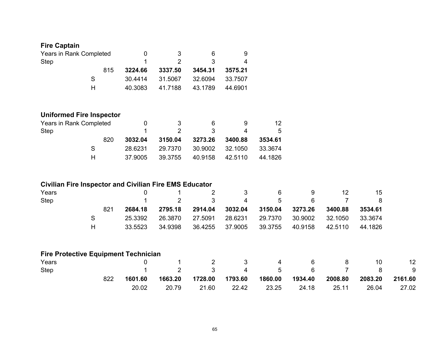| <b>Fire Captain</b>                                           |                           |         |                |                |         |         |         |                |         |         |
|---------------------------------------------------------------|---------------------------|---------|----------------|----------------|---------|---------|---------|----------------|---------|---------|
| Years in Rank Completed                                       |                           | 0       | 3              | 6              | 9       |         |         |                |         |         |
| <b>Step</b>                                                   |                           | 1       | $\overline{2}$ | 3              | 4       |         |         |                |         |         |
|                                                               | 815                       | 3224.66 | 3337.50        | 3454.31        | 3575.21 |         |         |                |         |         |
|                                                               | $\mathbf S$               | 30.4414 | 31.5067        | 32.6094        | 33.7507 |         |         |                |         |         |
|                                                               | H                         | 40.3083 | 41.7188        | 43.1789        | 44.6901 |         |         |                |         |         |
| <b>Uniformed Fire Inspector</b>                               |                           |         |                |                |         |         |         |                |         |         |
| Years in Rank Completed                                       |                           | 0       | 3              | 6              | 9       | 12      |         |                |         |         |
| <b>Step</b>                                                   |                           |         | $\overline{2}$ | 3              | 4       | 5       |         |                |         |         |
|                                                               | 820                       | 3032.04 | 3150.04        | 3273.26        | 3400.88 | 3534.61 |         |                |         |         |
|                                                               | $\mathbf S$               | 28.6231 | 29.7370        | 30.9002        | 32.1050 | 33.3674 |         |                |         |         |
|                                                               | H                         | 37.9005 | 39.3755        | 40.9158        | 42.5110 | 44.1826 |         |                |         |         |
| <b>Civilian Fire Inspector and Civilian Fire EMS Educator</b> |                           |         |                |                |         |         |         |                |         |         |
| Years                                                         |                           | 0       |                | $\overline{2}$ | 3       | 6       | 9       | 12             | 15      |         |
| <b>Step</b>                                                   |                           |         | $\overline{2}$ | 3              | 4       | 5       | 6       | $\overline{7}$ | 8       |         |
|                                                               | 821                       | 2684.18 | 2795.18        | 2914.04        | 3032.04 | 3150.04 | 3273.26 | 3400.88        | 3534.61 |         |
|                                                               | $\mathsf S$               | 25.3392 | 26.3870        | 27.5091        | 28.6231 | 29.7370 | 30.9002 | 32.1050        | 33.3674 |         |
|                                                               | $\boldsymbol{\mathsf{H}}$ | 33.5523 | 34.9398        | 36.4255        | 37.9005 | 39.3755 | 40.9158 | 42.5110        | 44.1826 |         |
| <b>Fire Protective Equipment Technician</b>                   |                           |         |                |                |         |         |         |                |         |         |
| Years                                                         |                           | 0       | 1              | 2              | 3       | 4       | 6       | 8              | 10      | 12      |
| <b>Step</b>                                                   |                           |         | $\overline{2}$ | 3              | 4       | 5       | 6       | $\overline{7}$ | 8       | 9       |
|                                                               | 822                       | 1601.60 | 1663.20        | 1728.00        | 1793.60 | 1860.00 | 1934.40 | 2008.80        | 2083.20 | 2161.60 |
|                                                               |                           | 20.02   | 20.79          | 21.60          | 22.42   | 23.25   | 24.18   | 25.11          | 26.04   | 27.02   |